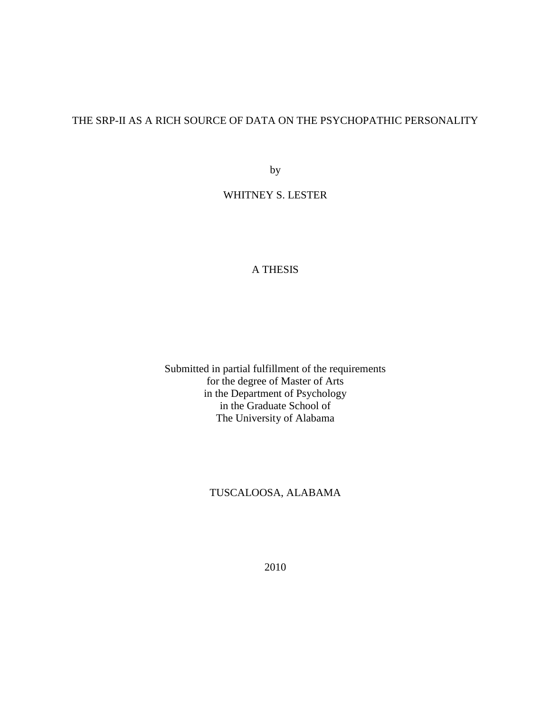# THE SRP-II AS A RICH SOURCE OF DATA ON THE PSYCHOPATHIC PERSONALITY

by

WHITNEY S. LESTER

## A THESIS

Submitted in partial fulfillment of the requirements for the degree of Master of Arts in the Department of Psychology in the Graduate School of The University of Alabama

### TUSCALOOSA, ALABAMA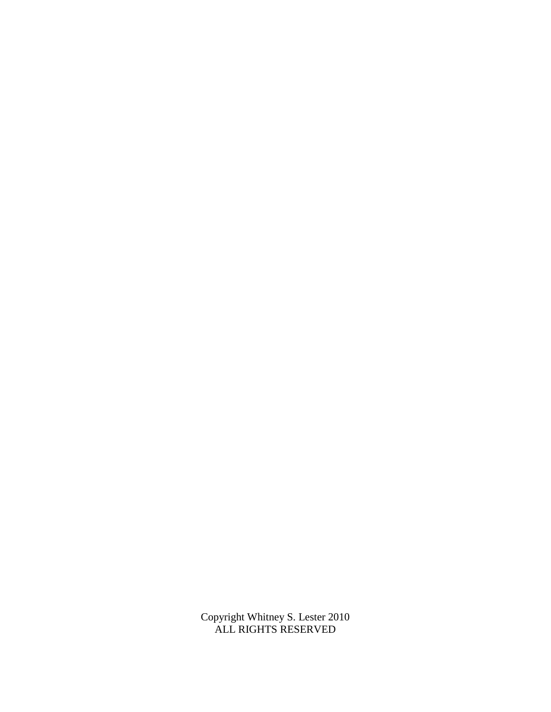Copyright Whitney S. Lester 2010 ALL RIGHTS RESERVED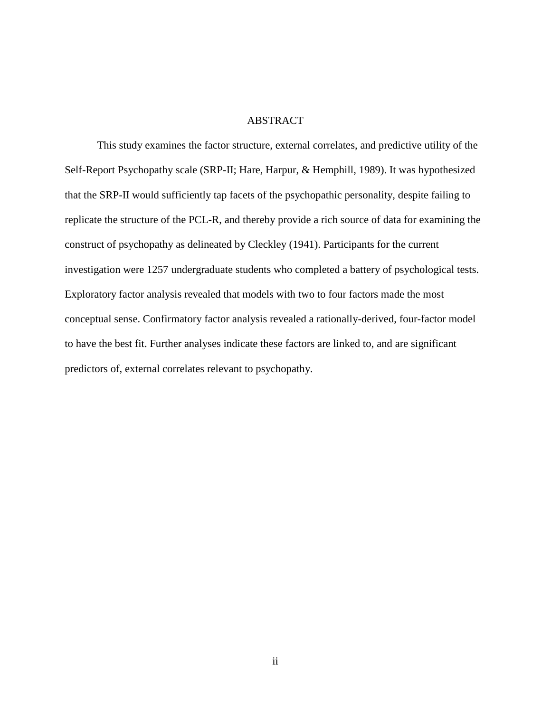### ABSTRACT

This study examines the factor structure, external correlates, and predictive utility of the Self-Report Psychopathy scale (SRP-II; Hare, Harpur, & Hemphill, 1989). It was hypothesized that the SRP-II would sufficiently tap facets of the psychopathic personality, despite failing to replicate the structure of the PCL-R, and thereby provide a rich source of data for examining the construct of psychopathy as delineated by Cleckley (1941). Participants for the current investigation were 1257 undergraduate students who completed a battery of psychological tests. Exploratory factor analysis revealed that models with two to four factors made the most conceptual sense. Confirmatory factor analysis revealed a rationally-derived, four-factor model to have the best fit. Further analyses indicate these factors are linked to, and are significant predictors of, external correlates relevant to psychopathy.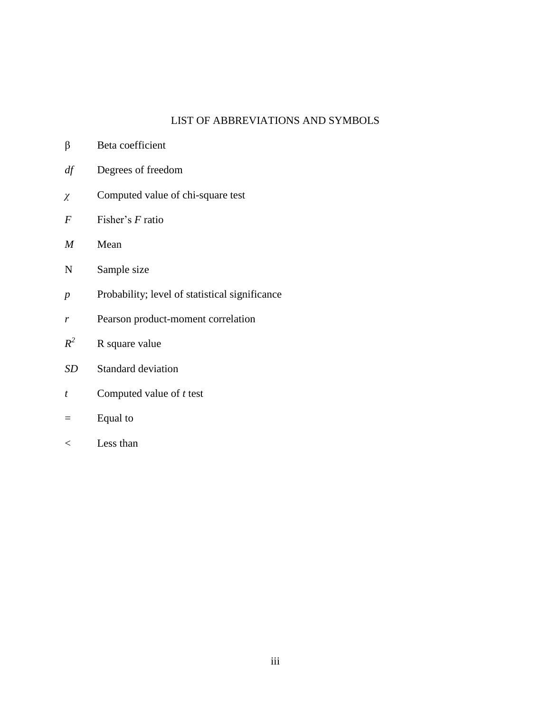# LIST OF ABBREVIATIONS AND SYMBOLS

| β                | Beta coefficient                               |
|------------------|------------------------------------------------|
| df               | Degrees of freedom                             |
| $\chi$           | Computed value of chi-square test              |
| F                | Fisher's F ratio                               |
| $\boldsymbol{M}$ | Mean                                           |
| N                | Sample size                                    |
| $\boldsymbol{p}$ | Probability; level of statistical significance |
| r                | Pearson product-moment correlation             |
| $R^2$            | R square value                                 |
| <b>SD</b>        | <b>Standard deviation</b>                      |
| t                | Computed value of $t$ test                     |
|                  | Equal to                                       |
|                  |                                                |

< Less than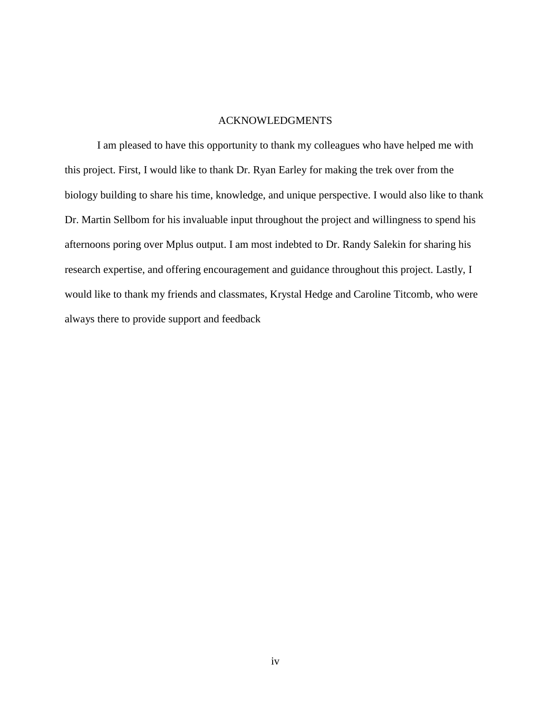### ACKNOWLEDGMENTS

I am pleased to have this opportunity to thank my colleagues who have helped me with this project. First, I would like to thank Dr. Ryan Earley for making the trek over from the biology building to share his time, knowledge, and unique perspective. I would also like to thank Dr. Martin Sellbom for his invaluable input throughout the project and willingness to spend his afternoons poring over Mplus output. I am most indebted to Dr. Randy Salekin for sharing his research expertise, and offering encouragement and guidance throughout this project. Lastly, I would like to thank my friends and classmates, Krystal Hedge and Caroline Titcomb, who were always there to provide support and feedback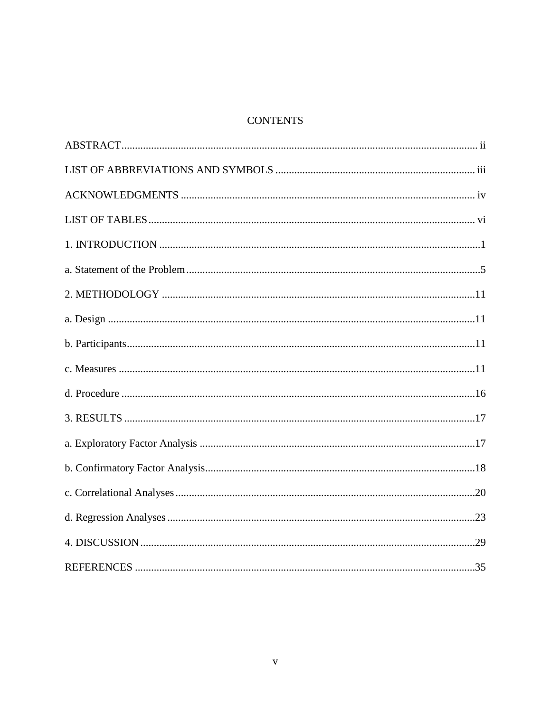# **CONTENTS**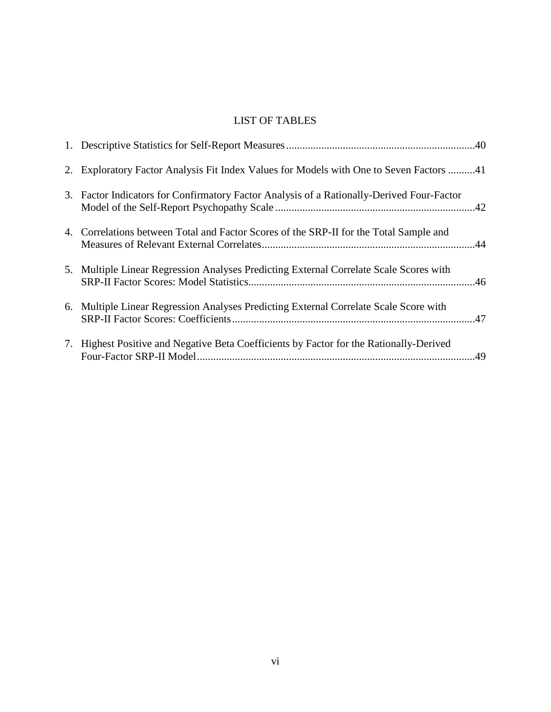# LIST OF TABLES

| 2. Exploratory Factor Analysis Fit Index Values for Models with One to Seven Factors 41   |
|-------------------------------------------------------------------------------------------|
| 3. Factor Indicators for Confirmatory Factor Analysis of a Rationally-Derived Four-Factor |
| 4. Correlations between Total and Factor Scores of the SRP-II for the Total Sample and    |
| 5. Multiple Linear Regression Analyses Predicting External Correlate Scale Scores with    |
| 6. Multiple Linear Regression Analyses Predicting External Correlate Scale Score with     |
| 7. Highest Positive and Negative Beta Coefficients by Factor for the Rationally-Derived   |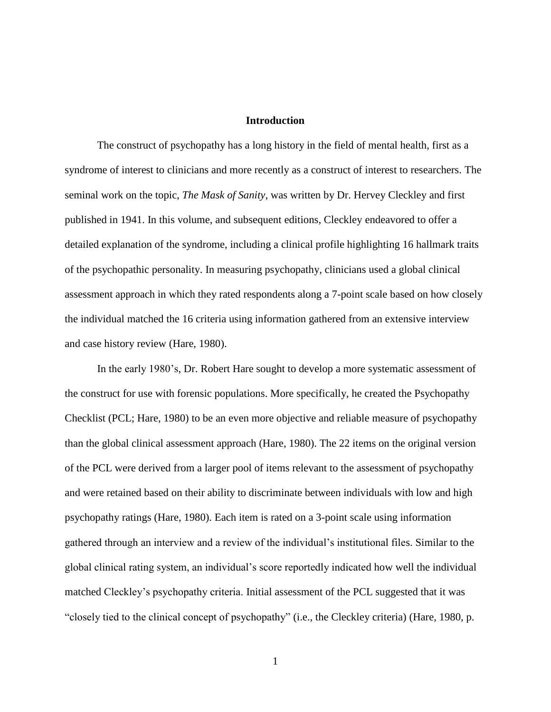### **Introduction**

The construct of psychopathy has a long history in the field of mental health, first as a syndrome of interest to clinicians and more recently as a construct of interest to researchers. The seminal work on the topic, *The Mask of Sanity*, was written by Dr. Hervey Cleckley and first published in 1941. In this volume, and subsequent editions, Cleckley endeavored to offer a detailed explanation of the syndrome, including a clinical profile highlighting 16 hallmark traits of the psychopathic personality. In measuring psychopathy, clinicians used a global clinical assessment approach in which they rated respondents along a 7-point scale based on how closely the individual matched the 16 criteria using information gathered from an extensive interview and case history review (Hare, 1980).

In the early 1980"s, Dr. Robert Hare sought to develop a more systematic assessment of the construct for use with forensic populations. More specifically, he created the Psychopathy Checklist (PCL; Hare, 1980) to be an even more objective and reliable measure of psychopathy than the global clinical assessment approach (Hare, 1980). The 22 items on the original version of the PCL were derived from a larger pool of items relevant to the assessment of psychopathy and were retained based on their ability to discriminate between individuals with low and high psychopathy ratings (Hare, 1980). Each item is rated on a 3-point scale using information gathered through an interview and a review of the individual"s institutional files. Similar to the global clinical rating system, an individual"s score reportedly indicated how well the individual matched Cleckley"s psychopathy criteria. Initial assessment of the PCL suggested that it was "closely tied to the clinical concept of psychopathy" (i.e., the Cleckley criteria) (Hare, 1980, p.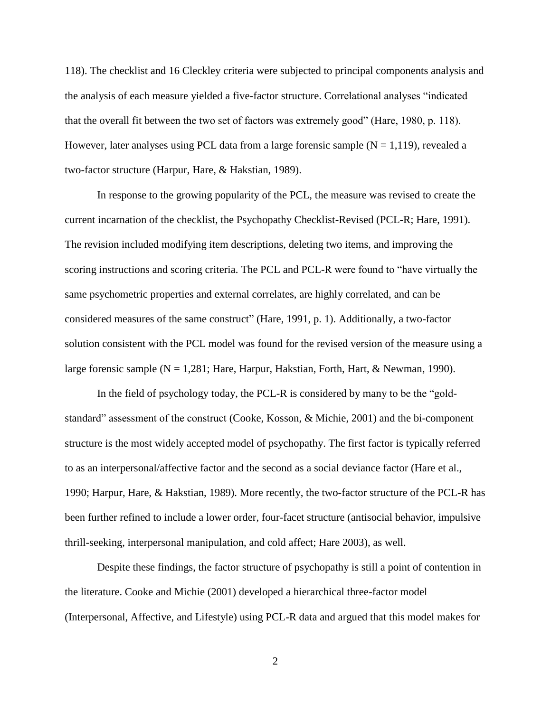118). The checklist and 16 Cleckley criteria were subjected to principal components analysis and the analysis of each measure yielded a five-factor structure. Correlational analyses "indicated that the overall fit between the two set of factors was extremely good" (Hare, 1980, p. 118). However, later analyses using PCL data from a large forensic sample  $(N = 1,119)$ , revealed a two-factor structure (Harpur, Hare, & Hakstian, 1989).

In response to the growing popularity of the PCL, the measure was revised to create the current incarnation of the checklist, the Psychopathy Checklist-Revised (PCL-R; Hare, 1991). The revision included modifying item descriptions, deleting two items, and improving the scoring instructions and scoring criteria. The PCL and PCL-R were found to "have virtually the same psychometric properties and external correlates, are highly correlated, and can be considered measures of the same construct" (Hare, 1991, p. 1). Additionally, a two-factor solution consistent with the PCL model was found for the revised version of the measure using a large forensic sample (N = 1,281; Hare, Harpur, Hakstian, Forth, Hart, & Newman, 1990).

In the field of psychology today, the PCL-R is considered by many to be the "goldstandard" assessment of the construct (Cooke, Kosson, & Michie, 2001) and the bi-component structure is the most widely accepted model of psychopathy. The first factor is typically referred to as an interpersonal/affective factor and the second as a social deviance factor (Hare et al., 1990; Harpur, Hare, & Hakstian, 1989). More recently, the two-factor structure of the PCL-R has been further refined to include a lower order, four-facet structure (antisocial behavior, impulsive thrill-seeking, interpersonal manipulation, and cold affect; Hare 2003), as well.

Despite these findings, the factor structure of psychopathy is still a point of contention in the literature. Cooke and Michie (2001) developed a hierarchical three-factor model (Interpersonal, Affective, and Lifestyle) using PCL-R data and argued that this model makes for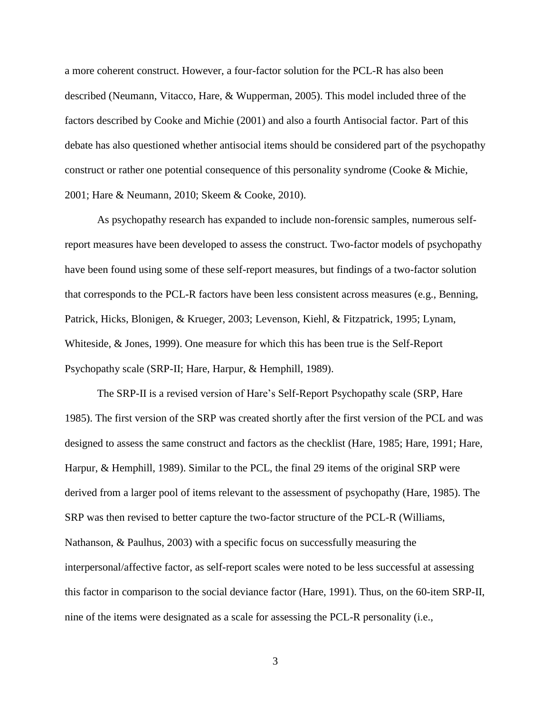a more coherent construct. However, a four-factor solution for the PCL-R has also been described (Neumann, Vitacco, Hare, & Wupperman, 2005). This model included three of the factors described by Cooke and Michie (2001) and also a fourth Antisocial factor. Part of this debate has also questioned whether antisocial items should be considered part of the psychopathy construct or rather one potential consequence of this personality syndrome (Cooke & Michie, 2001; Hare & Neumann, 2010; Skeem & Cooke, 2010).

As psychopathy research has expanded to include non-forensic samples, numerous selfreport measures have been developed to assess the construct. Two-factor models of psychopathy have been found using some of these self-report measures, but findings of a two-factor solution that corresponds to the PCL-R factors have been less consistent across measures (e.g., Benning, Patrick, Hicks, Blonigen, & Krueger, 2003; Levenson, Kiehl, & Fitzpatrick, 1995; Lynam, Whiteside, & Jones, 1999). One measure for which this has been true is the Self-Report Psychopathy scale (SRP-II; Hare, Harpur, & Hemphill, 1989).

The SRP-II is a revised version of Hare"s Self-Report Psychopathy scale (SRP, Hare 1985). The first version of the SRP was created shortly after the first version of the PCL and was designed to assess the same construct and factors as the checklist (Hare, 1985; Hare, 1991; Hare, Harpur, & Hemphill, 1989). Similar to the PCL, the final 29 items of the original SRP were derived from a larger pool of items relevant to the assessment of psychopathy (Hare, 1985). The SRP was then revised to better capture the two-factor structure of the PCL-R (Williams, Nathanson, & Paulhus, 2003) with a specific focus on successfully measuring the interpersonal/affective factor, as self-report scales were noted to be less successful at assessing this factor in comparison to the social deviance factor (Hare, 1991). Thus, on the 60-item SRP-II, nine of the items were designated as a scale for assessing the PCL-R personality (i.e.,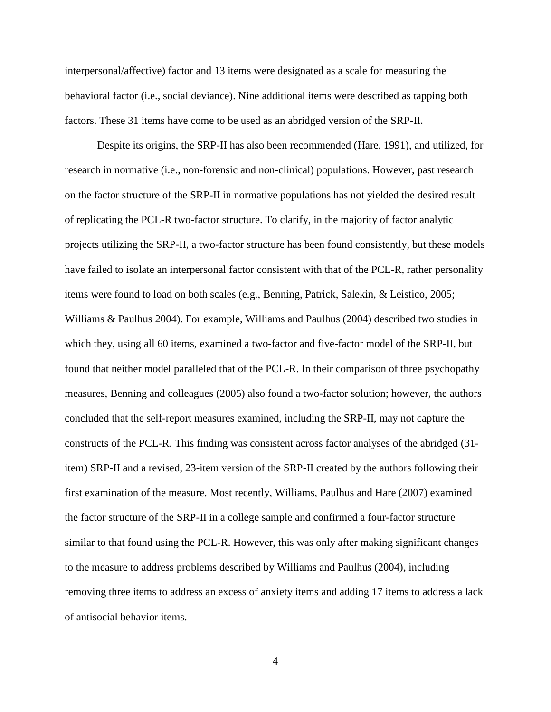interpersonal/affective) factor and 13 items were designated as a scale for measuring the behavioral factor (i.e., social deviance). Nine additional items were described as tapping both factors. These 31 items have come to be used as an abridged version of the SRP-II.

Despite its origins, the SRP-II has also been recommended (Hare, 1991), and utilized, for research in normative (i.e., non-forensic and non-clinical) populations. However, past research on the factor structure of the SRP-II in normative populations has not yielded the desired result of replicating the PCL-R two-factor structure. To clarify, in the majority of factor analytic projects utilizing the SRP-II, a two-factor structure has been found consistently, but these models have failed to isolate an interpersonal factor consistent with that of the PCL-R, rather personality items were found to load on both scales (e.g., Benning, Patrick, Salekin, & Leistico, 2005; Williams & Paulhus 2004). For example, Williams and Paulhus (2004) described two studies in which they, using all 60 items, examined a two-factor and five-factor model of the SRP-II, but found that neither model paralleled that of the PCL-R. In their comparison of three psychopathy measures, Benning and colleagues (2005) also found a two-factor solution; however, the authors concluded that the self-report measures examined, including the SRP-II, may not capture the constructs of the PCL-R. This finding was consistent across factor analyses of the abridged (31 item) SRP-II and a revised, 23-item version of the SRP-II created by the authors following their first examination of the measure. Most recently, Williams, Paulhus and Hare (2007) examined the factor structure of the SRP-II in a college sample and confirmed a four-factor structure similar to that found using the PCL-R. However, this was only after making significant changes to the measure to address problems described by Williams and Paulhus (2004), including removing three items to address an excess of anxiety items and adding 17 items to address a lack of antisocial behavior items.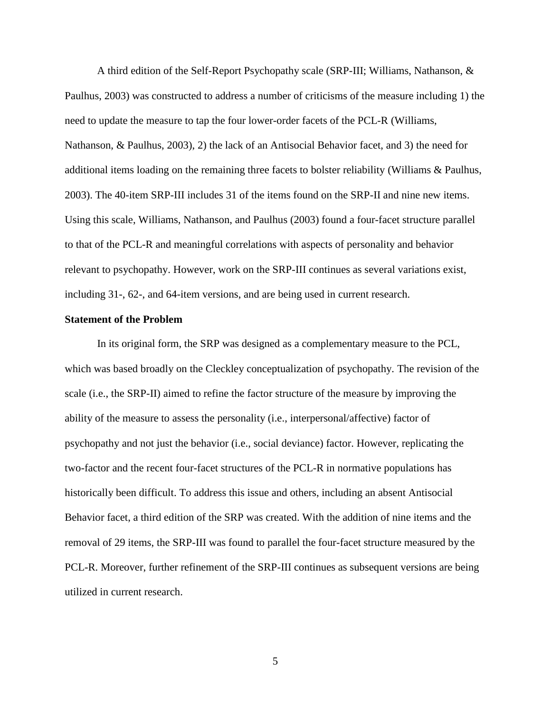A third edition of the Self-Report Psychopathy scale (SRP-III; Williams, Nathanson, & Paulhus, 2003) was constructed to address a number of criticisms of the measure including 1) the need to update the measure to tap the four lower-order facets of the PCL-R (Williams, Nathanson, & Paulhus, 2003), 2) the lack of an Antisocial Behavior facet, and 3) the need for additional items loading on the remaining three facets to bolster reliability (Williams & Paulhus, 2003). The 40-item SRP-III includes 31 of the items found on the SRP-II and nine new items. Using this scale, Williams, Nathanson, and Paulhus (2003) found a four-facet structure parallel to that of the PCL-R and meaningful correlations with aspects of personality and behavior relevant to psychopathy. However, work on the SRP-III continues as several variations exist, including 31-, 62-, and 64-item versions, and are being used in current research.

#### **Statement of the Problem**

In its original form, the SRP was designed as a complementary measure to the PCL, which was based broadly on the Cleckley conceptualization of psychopathy. The revision of the scale (i.e., the SRP-II) aimed to refine the factor structure of the measure by improving the ability of the measure to assess the personality (i.e., interpersonal/affective) factor of psychopathy and not just the behavior (i.e., social deviance) factor. However, replicating the two-factor and the recent four-facet structures of the PCL-R in normative populations has historically been difficult. To address this issue and others, including an absent Antisocial Behavior facet, a third edition of the SRP was created. With the addition of nine items and the removal of 29 items, the SRP-III was found to parallel the four-facet structure measured by the PCL-R. Moreover, further refinement of the SRP-III continues as subsequent versions are being utilized in current research.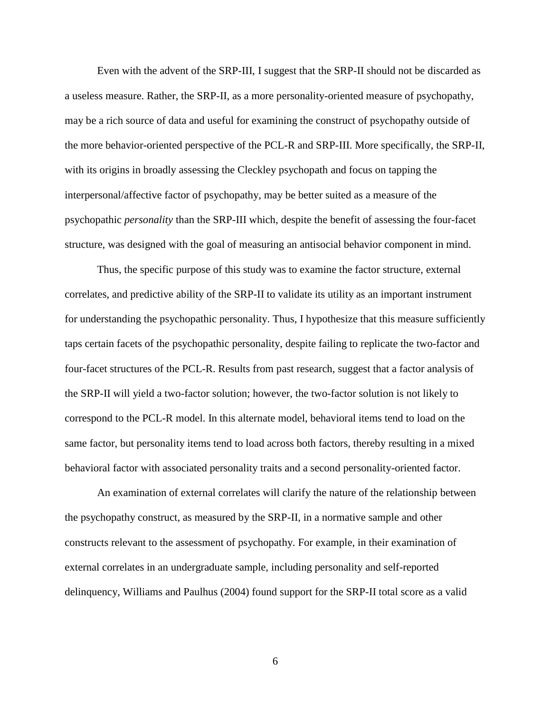Even with the advent of the SRP-III, I suggest that the SRP-II should not be discarded as a useless measure. Rather, the SRP-II, as a more personality-oriented measure of psychopathy, may be a rich source of data and useful for examining the construct of psychopathy outside of the more behavior-oriented perspective of the PCL-R and SRP-III. More specifically, the SRP-II, with its origins in broadly assessing the Cleckley psychopath and focus on tapping the interpersonal/affective factor of psychopathy, may be better suited as a measure of the psychopathic *personality* than the SRP-III which, despite the benefit of assessing the four-facet structure, was designed with the goal of measuring an antisocial behavior component in mind.

Thus, the specific purpose of this study was to examine the factor structure, external correlates, and predictive ability of the SRP-II to validate its utility as an important instrument for understanding the psychopathic personality. Thus, I hypothesize that this measure sufficiently taps certain facets of the psychopathic personality, despite failing to replicate the two-factor and four-facet structures of the PCL-R. Results from past research, suggest that a factor analysis of the SRP-II will yield a two-factor solution; however, the two-factor solution is not likely to correspond to the PCL-R model. In this alternate model, behavioral items tend to load on the same factor, but personality items tend to load across both factors, thereby resulting in a mixed behavioral factor with associated personality traits and a second personality-oriented factor.

An examination of external correlates will clarify the nature of the relationship between the psychopathy construct, as measured by the SRP-II, in a normative sample and other constructs relevant to the assessment of psychopathy. For example, in their examination of external correlates in an undergraduate sample, including personality and self-reported delinquency, Williams and Paulhus (2004) found support for the SRP-II total score as a valid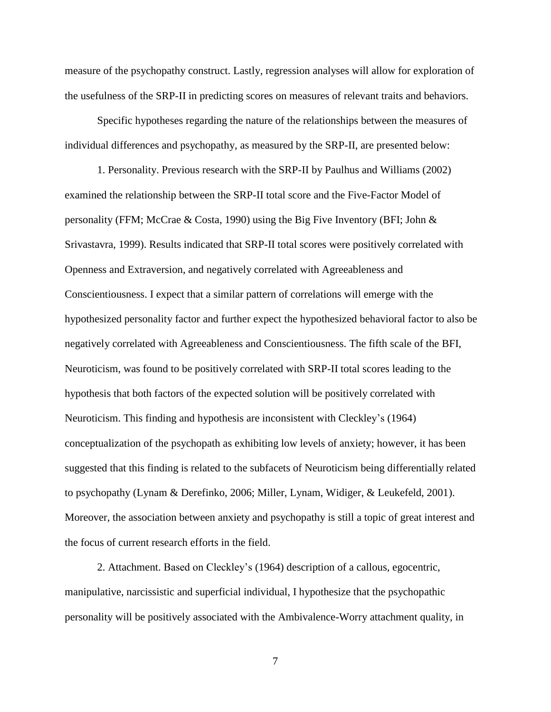measure of the psychopathy construct. Lastly, regression analyses will allow for exploration of the usefulness of the SRP-II in predicting scores on measures of relevant traits and behaviors.

Specific hypotheses regarding the nature of the relationships between the measures of individual differences and psychopathy, as measured by the SRP-II, are presented below:

1. Personality. Previous research with the SRP-II by Paulhus and Williams (2002) examined the relationship between the SRP-II total score and the Five-Factor Model of personality (FFM; McCrae & Costa, 1990) using the Big Five Inventory (BFI; John & Srivastavra, 1999). Results indicated that SRP-II total scores were positively correlated with Openness and Extraversion, and negatively correlated with Agreeableness and Conscientiousness. I expect that a similar pattern of correlations will emerge with the hypothesized personality factor and further expect the hypothesized behavioral factor to also be negatively correlated with Agreeableness and Conscientiousness. The fifth scale of the BFI, Neuroticism, was found to be positively correlated with SRP-II total scores leading to the hypothesis that both factors of the expected solution will be positively correlated with Neuroticism. This finding and hypothesis are inconsistent with Cleckley"s (1964) conceptualization of the psychopath as exhibiting low levels of anxiety; however, it has been suggested that this finding is related to the subfacets of Neuroticism being differentially related to psychopathy (Lynam & Derefinko, 2006; Miller, Lynam, Widiger, & Leukefeld, 2001). Moreover, the association between anxiety and psychopathy is still a topic of great interest and the focus of current research efforts in the field.

2. Attachment. Based on Cleckley"s (1964) description of a callous, egocentric, manipulative, narcissistic and superficial individual, I hypothesize that the psychopathic personality will be positively associated with the Ambivalence-Worry attachment quality, in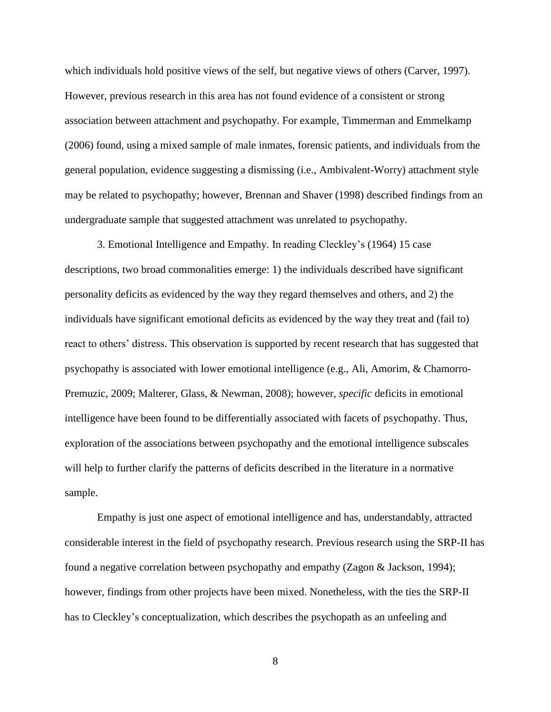which individuals hold positive views of the self, but negative views of others (Carver, 1997). However, previous research in this area has not found evidence of a consistent or strong association between attachment and psychopathy. For example, Timmerman and Emmelkamp (2006) found, using a mixed sample of male inmates, forensic patients, and individuals from the general population, evidence suggesting a dismissing (i.e., Ambivalent-Worry) attachment style may be related to psychopathy; however, Brennan and Shaver (1998) described findings from an undergraduate sample that suggested attachment was unrelated to psychopathy.

3. Emotional Intelligence and Empathy. In reading Cleckley"s (1964) 15 case descriptions, two broad commonalities emerge: 1) the individuals described have significant personality deficits as evidenced by the way they regard themselves and others, and 2) the individuals have significant emotional deficits as evidenced by the way they treat and (fail to) react to others' distress. This observation is supported by recent research that has suggested that psychopathy is associated with lower emotional intelligence (e.g., Ali, Amorim, & Chamorro-Premuzic, 2009; Malterer, Glass, & Newman, 2008); however, *specific* deficits in emotional intelligence have been found to be differentially associated with facets of psychopathy. Thus, exploration of the associations between psychopathy and the emotional intelligence subscales will help to further clarify the patterns of deficits described in the literature in a normative sample.

Empathy is just one aspect of emotional intelligence and has, understandably, attracted considerable interest in the field of psychopathy research. Previous research using the SRP-II has found a negative correlation between psychopathy and empathy (Zagon & Jackson, 1994); however, findings from other projects have been mixed. Nonetheless, with the ties the SRP-II has to Cleckley"s conceptualization, which describes the psychopath as an unfeeling and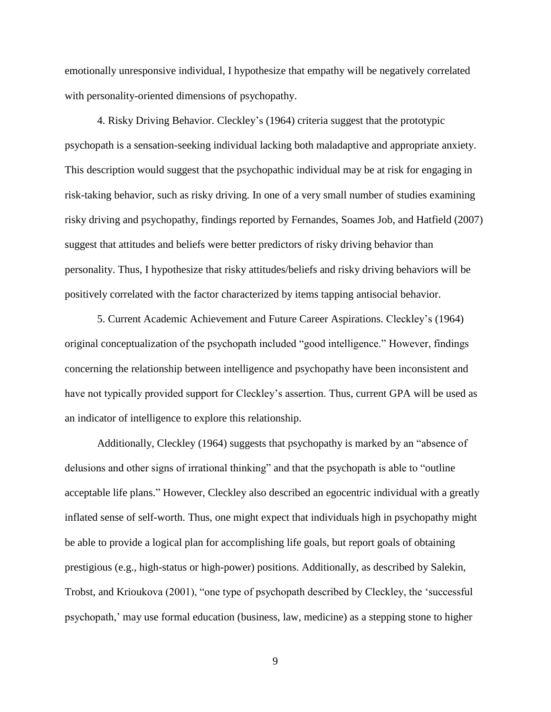emotionally unresponsive individual, I hypothesize that empathy will be negatively correlated with personality-oriented dimensions of psychopathy.

4. Risky Driving Behavior. Cleckley"s (1964) criteria suggest that the prototypic psychopath is a sensation-seeking individual lacking both maladaptive and appropriate anxiety. This description would suggest that the psychopathic individual may be at risk for engaging in risk-taking behavior, such as risky driving. In one of a very small number of studies examining risky driving and psychopathy, findings reported by Fernandes, Soames Job, and Hatfield (2007) suggest that attitudes and beliefs were better predictors of risky driving behavior than personality. Thus, I hypothesize that risky attitudes/beliefs and risky driving behaviors will be positively correlated with the factor characterized by items tapping antisocial behavior.

5. Current Academic Achievement and Future Career Aspirations. Cleckley"s (1964) original conceptualization of the psychopath included "good intelligence." However, findings concerning the relationship between intelligence and psychopathy have been inconsistent and have not typically provided support for Cleckley's assertion. Thus, current GPA will be used as an indicator of intelligence to explore this relationship.

Additionally, Cleckley (1964) suggests that psychopathy is marked by an "absence of delusions and other signs of irrational thinking" and that the psychopath is able to "outline acceptable life plans." However, Cleckley also described an egocentric individual with a greatly inflated sense of self-worth. Thus, one might expect that individuals high in psychopathy might be able to provide a logical plan for accomplishing life goals, but report goals of obtaining prestigious (e.g., high-status or high-power) positions. Additionally, as described by Salekin, Trobst, and Krioukova (2001), "one type of psychopath described by Cleckley, the "successful psychopath," may use formal education (business, law, medicine) as a stepping stone to higher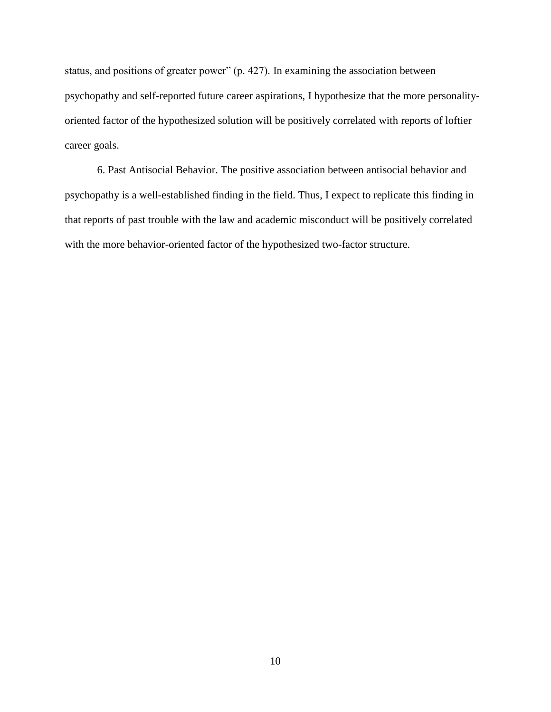status, and positions of greater power" (p. 427). In examining the association between psychopathy and self-reported future career aspirations, I hypothesize that the more personalityoriented factor of the hypothesized solution will be positively correlated with reports of loftier career goals.

6. Past Antisocial Behavior. The positive association between antisocial behavior and psychopathy is a well-established finding in the field. Thus, I expect to replicate this finding in that reports of past trouble with the law and academic misconduct will be positively correlated with the more behavior-oriented factor of the hypothesized two-factor structure.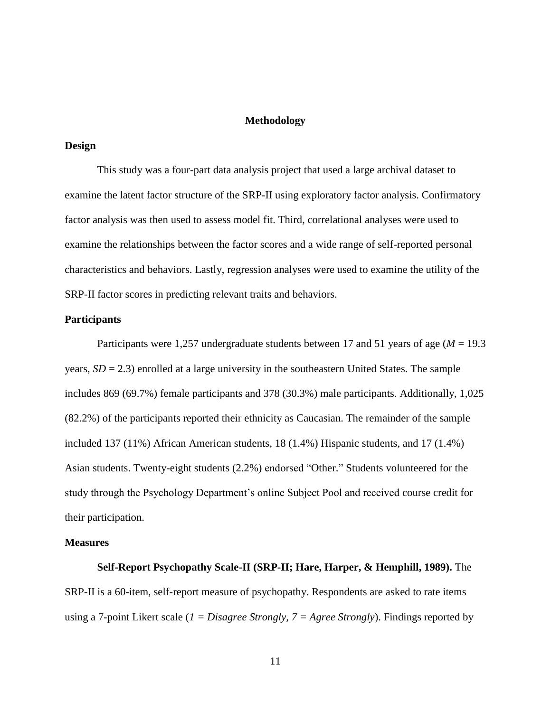### **Methodology**

### **Design**

This study was a four-part data analysis project that used a large archival dataset to examine the latent factor structure of the SRP-II using exploratory factor analysis. Confirmatory factor analysis was then used to assess model fit. Third, correlational analyses were used to examine the relationships between the factor scores and a wide range of self-reported personal characteristics and behaviors. Lastly, regression analyses were used to examine the utility of the SRP-II factor scores in predicting relevant traits and behaviors.

#### **Participants**

Participants were 1,257 undergraduate students between 17 and 51 years of age (*M* = 19.3 years,  $SD = 2.3$ ) enrolled at a large university in the southeastern United States. The sample includes 869 (69.7%) female participants and 378 (30.3%) male participants. Additionally, 1,025 (82.2%) of the participants reported their ethnicity as Caucasian. The remainder of the sample included 137 (11%) African American students, 18 (1.4%) Hispanic students, and 17 (1.4%) Asian students. Twenty-eight students (2.2%) endorsed "Other." Students volunteered for the study through the Psychology Department's online Subject Pool and received course credit for their participation.

#### **Measures**

**Self-Report Psychopathy Scale-II (SRP-II; Hare, Harper, & Hemphill, 1989).** The SRP-II is a 60-item, self-report measure of psychopathy. Respondents are asked to rate items using a 7-point Likert scale (*1 = Disagree Strongly, 7 = Agree Strongly*). Findings reported by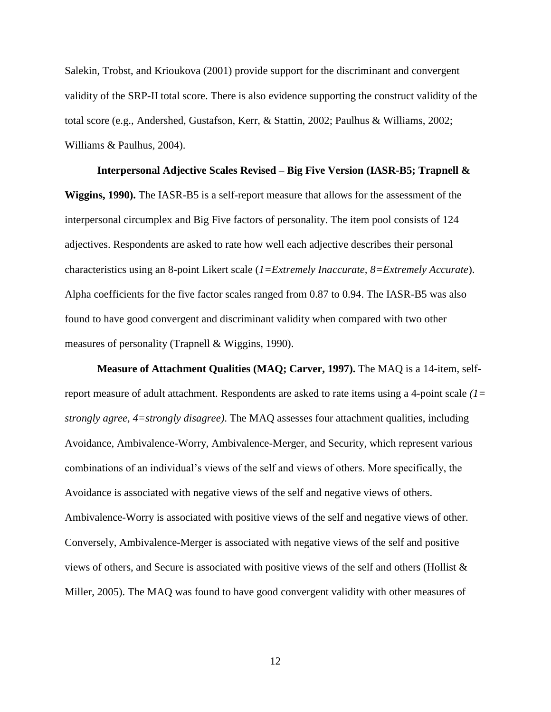Salekin, Trobst, and Krioukova (2001) provide support for the discriminant and convergent validity of the SRP-II total score. There is also evidence supporting the construct validity of the total score (e.g., Andershed, Gustafson, Kerr, & Stattin, 2002; Paulhus & Williams, 2002; Williams & Paulhus, 2004).

**Interpersonal Adjective Scales Revised – Big Five Version (IASR-B5; Trapnell & Wiggins, 1990).** The IASR-B5 is a self-report measure that allows for the assessment of the interpersonal circumplex and Big Five factors of personality. The item pool consists of 124 adjectives. Respondents are asked to rate how well each adjective describes their personal characteristics using an 8-point Likert scale (*1=Extremely Inaccurate, 8=Extremely Accurate*). Alpha coefficients for the five factor scales ranged from 0.87 to 0.94. The IASR-B5 was also found to have good convergent and discriminant validity when compared with two other measures of personality (Trapnell & Wiggins, 1990).

**Measure of Attachment Qualities (MAQ; Carver, 1997).** The MAQ is a 14-item, selfreport measure of adult attachment. Respondents are asked to rate items using a 4-point scale *(1= strongly agree, 4=strongly disagree)*. The MAQ assesses four attachment qualities, including Avoidance, Ambivalence-Worry, Ambivalence-Merger, and Security, which represent various combinations of an individual"s views of the self and views of others. More specifically, the Avoidance is associated with negative views of the self and negative views of others. Ambivalence-Worry is associated with positive views of the self and negative views of other. Conversely, Ambivalence-Merger is associated with negative views of the self and positive views of others, and Secure is associated with positive views of the self and others (Hollist & Miller, 2005). The MAQ was found to have good convergent validity with other measures of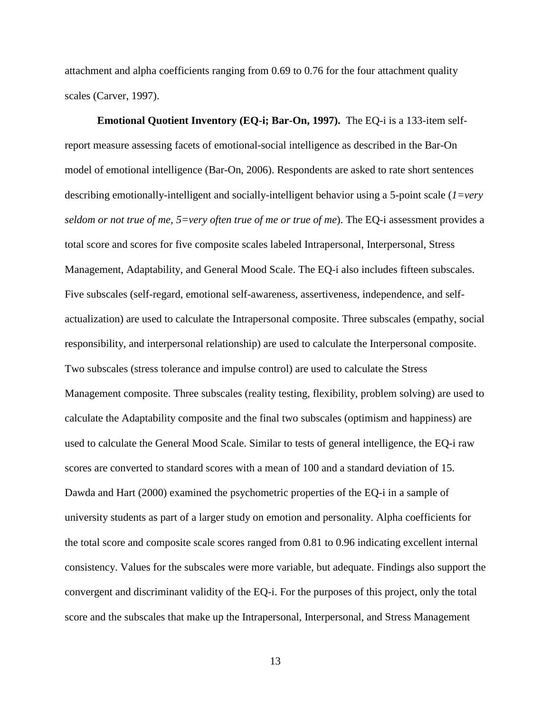attachment and alpha coefficients ranging from 0.69 to 0.76 for the four attachment quality scales (Carver, 1997).

**Emotional Quotient Inventory (EQ-i; Bar-On, 1997).** The EQ-i is a 133-item selfreport measure assessing facets of emotional-social intelligence as described in the Bar-On model of emotional intelligence (Bar-On, 2006). Respondents are asked to rate short sentences describing emotionally-intelligent and socially-intelligent behavior using a 5-point scale (*1=very seldom or not true of me, 5=very often true of me or true of me*). The EQ-i assessment provides a total score and scores for five composite scales labeled Intrapersonal, Interpersonal, Stress Management, Adaptability, and General Mood Scale. The EQ-i also includes fifteen subscales. Five subscales (self-regard, emotional self-awareness, assertiveness, independence, and selfactualization) are used to calculate the Intrapersonal composite. Three subscales (empathy, social responsibility, and interpersonal relationship) are used to calculate the Interpersonal composite. Two subscales (stress tolerance and impulse control) are used to calculate the Stress Management composite. Three subscales (reality testing, flexibility, problem solving) are used to calculate the Adaptability composite and the final two subscales (optimism and happiness) are used to calculate the General Mood Scale. Similar to tests of general intelligence, the EQ-i raw scores are converted to standard scores with a mean of 100 and a standard deviation of 15. Dawda and Hart (2000) examined the psychometric properties of the EQ-i in a sample of university students as part of a larger study on emotion and personality. Alpha coefficients for the total score and composite scale scores ranged from 0.81 to 0.96 indicating excellent internal consistency. Values for the subscales were more variable, but adequate. Findings also support the convergent and discriminant validity of the EQ-i. For the purposes of this project, only the total score and the subscales that make up the Intrapersonal, Interpersonal, and Stress Management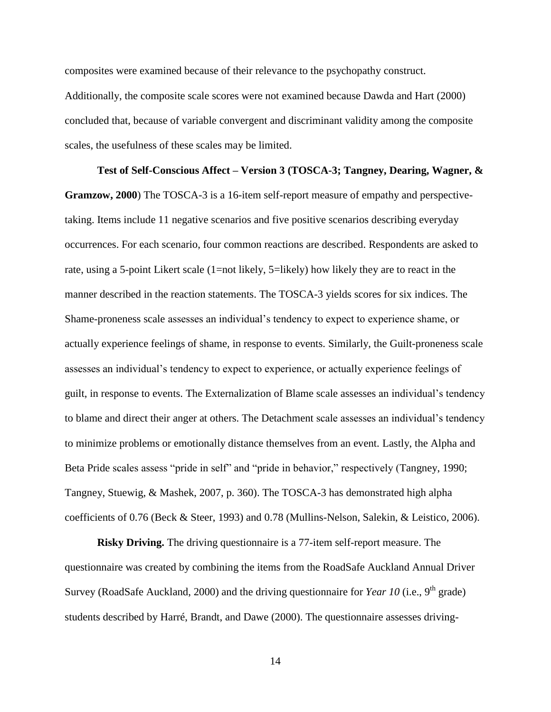composites were examined because of their relevance to the psychopathy construct. Additionally, the composite scale scores were not examined because Dawda and Hart (2000) concluded that, because of variable convergent and discriminant validity among the composite scales, the usefulness of these scales may be limited.

**Test of Self-Conscious Affect – Version 3 (TOSCA-3; Tangney, Dearing, Wagner, & Gramzow, 2000**) The TOSCA-3 is a 16-item self-report measure of empathy and perspectivetaking. Items include 11 negative scenarios and five positive scenarios describing everyday occurrences. For each scenario, four common reactions are described. Respondents are asked to rate, using a 5-point Likert scale (1=not likely, 5=likely) how likely they are to react in the manner described in the reaction statements. The TOSCA-3 yields scores for six indices. The Shame-proneness scale assesses an individual"s tendency to expect to experience shame, or actually experience feelings of shame, in response to events. Similarly, the Guilt-proneness scale assesses an individual's tendency to expect to experience, or actually experience feelings of guilt, in response to events. The Externalization of Blame scale assesses an individual"s tendency to blame and direct their anger at others. The Detachment scale assesses an individual"s tendency to minimize problems or emotionally distance themselves from an event. Lastly, the Alpha and Beta Pride scales assess "pride in self" and "pride in behavior," respectively (Tangney, 1990; Tangney, Stuewig, & Mashek, 2007, p. 360). The TOSCA-3 has demonstrated high alpha coefficients of 0.76 (Beck & Steer, 1993) and 0.78 (Mullins-Nelson, Salekin, & Leistico, 2006).

**Risky Driving.** The driving questionnaire is a 77-item self-report measure. The questionnaire was created by combining the items from the RoadSafe Auckland Annual Driver Survey (RoadSafe Auckland, 2000) and the driving questionnaire for *Year 10* (i.e., 9<sup>th</sup> grade) students described by Harré, Brandt, and Dawe (2000). The questionnaire assesses driving-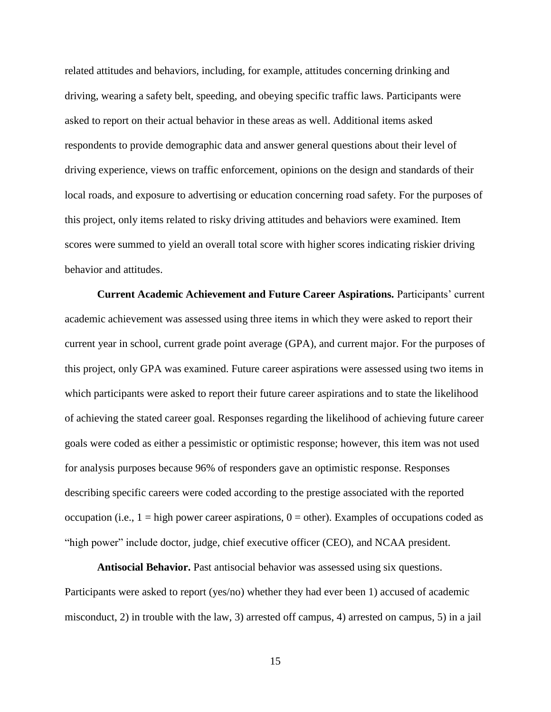related attitudes and behaviors, including, for example, attitudes concerning drinking and driving, wearing a safety belt, speeding, and obeying specific traffic laws. Participants were asked to report on their actual behavior in these areas as well. Additional items asked respondents to provide demographic data and answer general questions about their level of driving experience, views on traffic enforcement, opinions on the design and standards of their local roads, and exposure to advertising or education concerning road safety. For the purposes of this project, only items related to risky driving attitudes and behaviors were examined. Item scores were summed to yield an overall total score with higher scores indicating riskier driving behavior and attitudes.

**Current Academic Achievement and Future Career Aspirations.** Participants" current academic achievement was assessed using three items in which they were asked to report their current year in school, current grade point average (GPA), and current major. For the purposes of this project, only GPA was examined. Future career aspirations were assessed using two items in which participants were asked to report their future career aspirations and to state the likelihood of achieving the stated career goal. Responses regarding the likelihood of achieving future career goals were coded as either a pessimistic or optimistic response; however, this item was not used for analysis purposes because 96% of responders gave an optimistic response. Responses describing specific careers were coded according to the prestige associated with the reported occupation (i.e.,  $1 =$  high power career aspirations,  $0 =$  other). Examples of occupations coded as "high power" include doctor, judge, chief executive officer (CEO), and NCAA president.

**Antisocial Behavior.** Past antisocial behavior was assessed using six questions. Participants were asked to report (yes/no) whether they had ever been 1) accused of academic misconduct, 2) in trouble with the law, 3) arrested off campus, 4) arrested on campus, 5) in a jail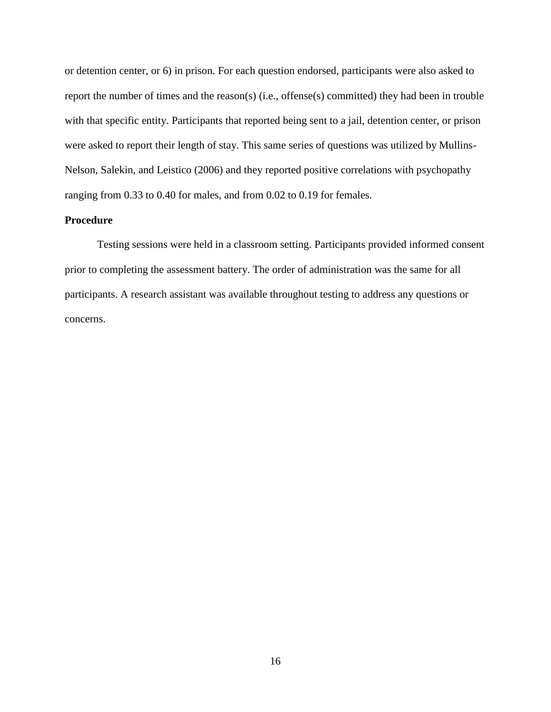or detention center, or 6) in prison. For each question endorsed, participants were also asked to report the number of times and the reason(s) (i.e., offense(s) committed) they had been in trouble with that specific entity. Participants that reported being sent to a jail, detention center, or prison were asked to report their length of stay. This same series of questions was utilized by Mullins-Nelson, Salekin, and Leistico (2006) and they reported positive correlations with psychopathy ranging from 0.33 to 0.40 for males, and from 0.02 to 0.19 for females.

### **Procedure**

Testing sessions were held in a classroom setting. Participants provided informed consent prior to completing the assessment battery. The order of administration was the same for all participants. A research assistant was available throughout testing to address any questions or concerns.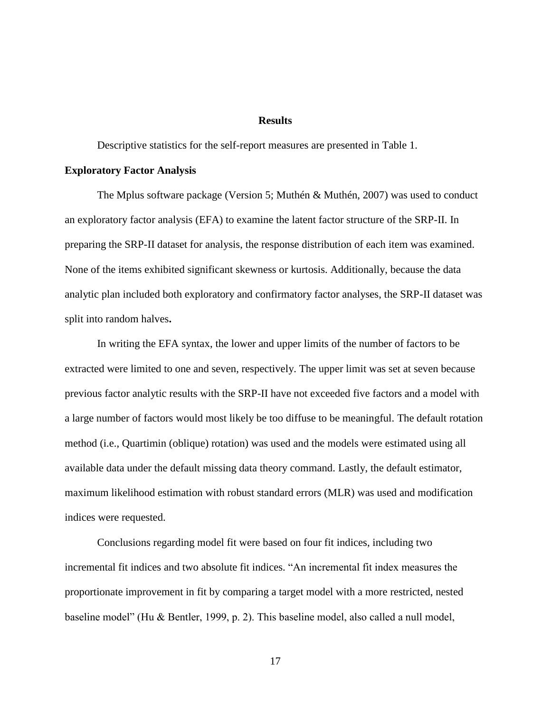### **Results**

Descriptive statistics for the self-report measures are presented in Table 1.

### **Exploratory Factor Analysis**

The Mplus software package (Version 5; Muthén & Muthén, 2007) was used to conduct an exploratory factor analysis (EFA) to examine the latent factor structure of the SRP-II. In preparing the SRP-II dataset for analysis, the response distribution of each item was examined. None of the items exhibited significant skewness or kurtosis. Additionally, because the data analytic plan included both exploratory and confirmatory factor analyses, the SRP-II dataset was split into random halves**.**

In writing the EFA syntax, the lower and upper limits of the number of factors to be extracted were limited to one and seven, respectively. The upper limit was set at seven because previous factor analytic results with the SRP-II have not exceeded five factors and a model with a large number of factors would most likely be too diffuse to be meaningful. The default rotation method (i.e., Quartimin (oblique) rotation) was used and the models were estimated using all available data under the default missing data theory command. Lastly, the default estimator, maximum likelihood estimation with robust standard errors (MLR) was used and modification indices were requested.

Conclusions regarding model fit were based on four fit indices, including two incremental fit indices and two absolute fit indices. "An incremental fit index measures the proportionate improvement in fit by comparing a target model with a more restricted, nested baseline model" (Hu & Bentler, 1999, p. 2). This baseline model, also called a null model,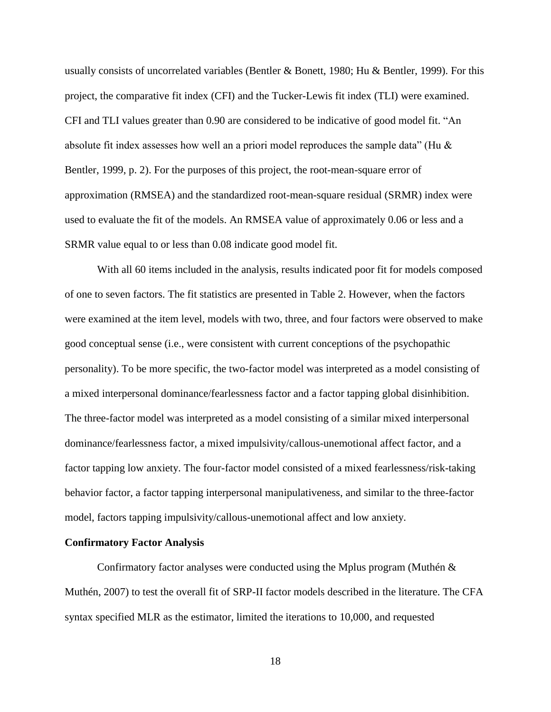usually consists of uncorrelated variables (Bentler & Bonett, 1980; Hu & Bentler, 1999). For this project, the comparative fit index (CFI) and the Tucker-Lewis fit index (TLI) were examined. CFI and TLI values greater than 0.90 are considered to be indicative of good model fit. "An absolute fit index assesses how well an a priori model reproduces the sample data" (Hu  $\&$ Bentler, 1999, p. 2). For the purposes of this project, the root-mean-square error of approximation (RMSEA) and the standardized root-mean-square residual (SRMR) index were used to evaluate the fit of the models. An RMSEA value of approximately 0.06 or less and a SRMR value equal to or less than 0.08 indicate good model fit.

With all 60 items included in the analysis, results indicated poor fit for models composed of one to seven factors. The fit statistics are presented in Table 2. However, when the factors were examined at the item level, models with two, three, and four factors were observed to make good conceptual sense (i.e., were consistent with current conceptions of the psychopathic personality). To be more specific, the two-factor model was interpreted as a model consisting of a mixed interpersonal dominance/fearlessness factor and a factor tapping global disinhibition. The three-factor model was interpreted as a model consisting of a similar mixed interpersonal dominance/fearlessness factor, a mixed impulsivity/callous-unemotional affect factor, and a factor tapping low anxiety. The four-factor model consisted of a mixed fearlessness/risk-taking behavior factor, a factor tapping interpersonal manipulativeness, and similar to the three-factor model, factors tapping impulsivity/callous-unemotional affect and low anxiety.

#### **Confirmatory Factor Analysis**

Confirmatory factor analyses were conducted using the Mplus program (Muthén  $\&$ Muthén, 2007) to test the overall fit of SRP-II factor models described in the literature. The CFA syntax specified MLR as the estimator, limited the iterations to 10,000, and requested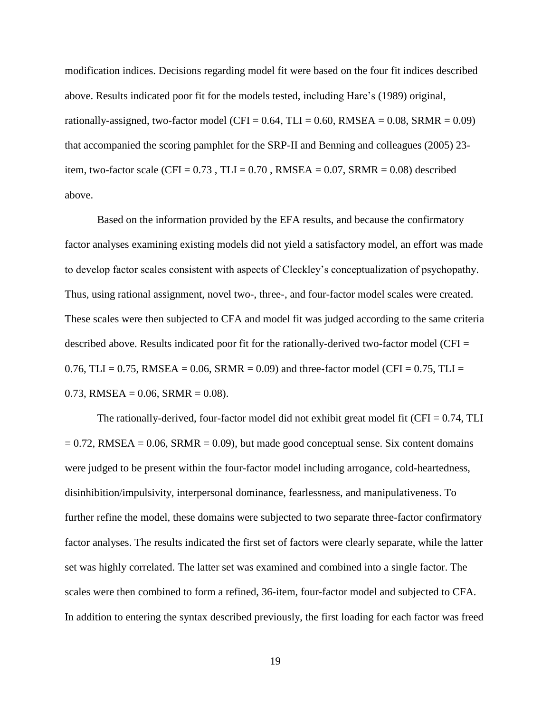modification indices. Decisions regarding model fit were based on the four fit indices described above. Results indicated poor fit for the models tested, including Hare"s (1989) original, rationally-assigned, two-factor model (CFI =  $0.64$ , TLI =  $0.60$ , RMSEA =  $0.08$ , SRMR =  $0.09$ ) that accompanied the scoring pamphlet for the SRP-II and Benning and colleagues (2005) 23 item, two-factor scale (CFI =  $0.73$ , TLI =  $0.70$ , RMSEA =  $0.07$ , SRMR =  $0.08$ ) described above.

Based on the information provided by the EFA results, and because the confirmatory factor analyses examining existing models did not yield a satisfactory model, an effort was made to develop factor scales consistent with aspects of Cleckley"s conceptualization of psychopathy. Thus, using rational assignment, novel two-, three-, and four-factor model scales were created. These scales were then subjected to CFA and model fit was judged according to the same criteria described above. Results indicated poor fit for the rationally-derived two-factor model (CFI = 0.76, TLI = 0.75, RMSEA = 0.06, SRMR = 0.09) and three-factor model (CFI = 0.75, TLI =  $0.73$ , RMSEA = 0.06, SRMR = 0.08).

The rationally-derived, four-factor model did not exhibit great model fit (CFI =  $0.74$ , TLI  $= 0.72$ , RMSEA  $= 0.06$ , SRMR  $= 0.09$ ), but made good conceptual sense. Six content domains were judged to be present within the four-factor model including arrogance, cold-heartedness, disinhibition/impulsivity, interpersonal dominance, fearlessness, and manipulativeness. To further refine the model, these domains were subjected to two separate three-factor confirmatory factor analyses. The results indicated the first set of factors were clearly separate, while the latter set was highly correlated. The latter set was examined and combined into a single factor. The scales were then combined to form a refined, 36-item, four-factor model and subjected to CFA. In addition to entering the syntax described previously, the first loading for each factor was freed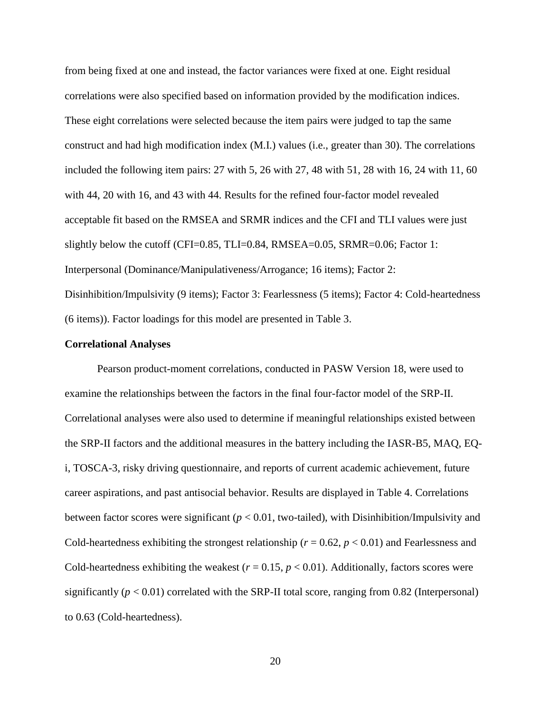from being fixed at one and instead, the factor variances were fixed at one. Eight residual correlations were also specified based on information provided by the modification indices. These eight correlations were selected because the item pairs were judged to tap the same construct and had high modification index (M.I.) values (i.e., greater than 30). The correlations included the following item pairs: 27 with 5, 26 with 27, 48 with 51, 28 with 16, 24 with 11, 60 with 44, 20 with 16, and 43 with 44. Results for the refined four-factor model revealed acceptable fit based on the RMSEA and SRMR indices and the CFI and TLI values were just slightly below the cutoff (CFI=0.85, TLI=0.84, RMSEA=0.05, SRMR=0.06; Factor 1: Interpersonal (Dominance/Manipulativeness/Arrogance; 16 items); Factor 2: Disinhibition/Impulsivity (9 items); Factor 3: Fearlessness (5 items); Factor 4: Cold-heartedness (6 items)). Factor loadings for this model are presented in Table 3.

#### **Correlational Analyses**

Pearson product-moment correlations, conducted in PASW Version 18, were used to examine the relationships between the factors in the final four-factor model of the SRP-II. Correlational analyses were also used to determine if meaningful relationships existed between the SRP-II factors and the additional measures in the battery including the IASR-B5, MAQ, EQi, TOSCA-3, risky driving questionnaire, and reports of current academic achievement, future career aspirations, and past antisocial behavior. Results are displayed in Table 4. Correlations between factor scores were significant ( $p < 0.01$ , two-tailed), with Disinhibition/Impulsivity and Cold-heartedness exhibiting the strongest relationship ( $r = 0.62$ ,  $p < 0.01$ ) and Fearlessness and Cold-heartedness exhibiting the weakest  $(r = 0.15, p < 0.01)$ . Additionally, factors scores were significantly  $(p < 0.01)$  correlated with the SRP-II total score, ranging from 0.82 (Interpersonal) to 0.63 (Cold-heartedness).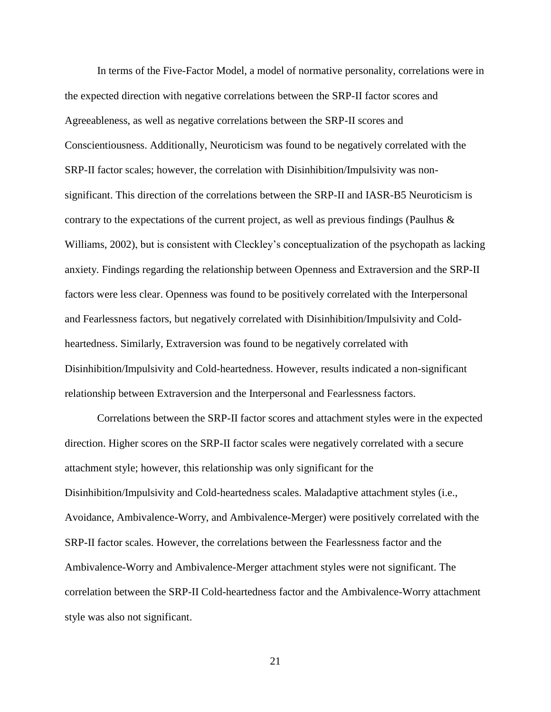In terms of the Five-Factor Model, a model of normative personality, correlations were in the expected direction with negative correlations between the SRP-II factor scores and Agreeableness, as well as negative correlations between the SRP-II scores and Conscientiousness. Additionally, Neuroticism was found to be negatively correlated with the SRP-II factor scales; however, the correlation with Disinhibition/Impulsivity was nonsignificant. This direction of the correlations between the SRP-II and IASR-B5 Neuroticism is contrary to the expectations of the current project, as well as previous findings (Paulhus  $\&$ Williams, 2002), but is consistent with Cleckley"s conceptualization of the psychopath as lacking anxiety. Findings regarding the relationship between Openness and Extraversion and the SRP-II factors were less clear. Openness was found to be positively correlated with the Interpersonal and Fearlessness factors, but negatively correlated with Disinhibition/Impulsivity and Coldheartedness. Similarly, Extraversion was found to be negatively correlated with Disinhibition/Impulsivity and Cold-heartedness. However, results indicated a non-significant relationship between Extraversion and the Interpersonal and Fearlessness factors.

Correlations between the SRP-II factor scores and attachment styles were in the expected direction. Higher scores on the SRP-II factor scales were negatively correlated with a secure attachment style; however, this relationship was only significant for the Disinhibition/Impulsivity and Cold-heartedness scales. Maladaptive attachment styles (i.e., Avoidance, Ambivalence-Worry, and Ambivalence-Merger) were positively correlated with the SRP-II factor scales. However, the correlations between the Fearlessness factor and the Ambivalence-Worry and Ambivalence-Merger attachment styles were not significant. The correlation between the SRP-II Cold-heartedness factor and the Ambivalence-Worry attachment style was also not significant.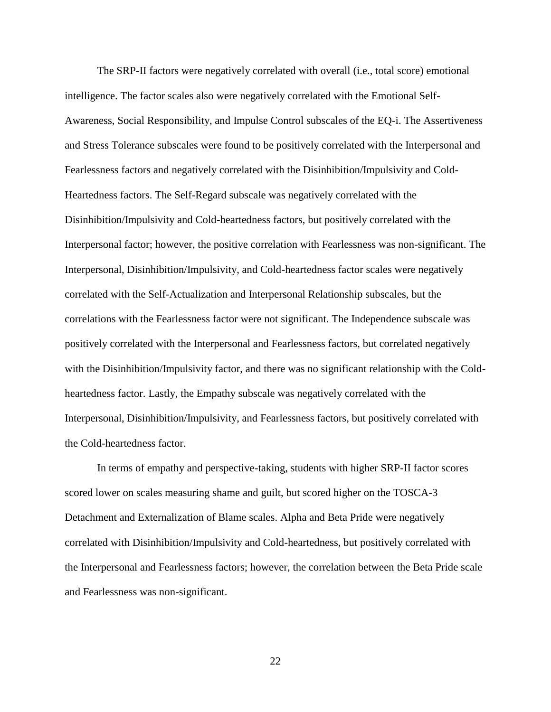The SRP-II factors were negatively correlated with overall (i.e., total score) emotional intelligence. The factor scales also were negatively correlated with the Emotional Self-Awareness, Social Responsibility, and Impulse Control subscales of the EQ-i. The Assertiveness and Stress Tolerance subscales were found to be positively correlated with the Interpersonal and Fearlessness factors and negatively correlated with the Disinhibition/Impulsivity and Cold-Heartedness factors. The Self-Regard subscale was negatively correlated with the Disinhibition/Impulsivity and Cold-heartedness factors, but positively correlated with the Interpersonal factor; however, the positive correlation with Fearlessness was non-significant. The Interpersonal, Disinhibition/Impulsivity, and Cold-heartedness factor scales were negatively correlated with the Self-Actualization and Interpersonal Relationship subscales, but the correlations with the Fearlessness factor were not significant. The Independence subscale was positively correlated with the Interpersonal and Fearlessness factors, but correlated negatively with the Disinhibition/Impulsivity factor, and there was no significant relationship with the Coldheartedness factor. Lastly, the Empathy subscale was negatively correlated with the Interpersonal, Disinhibition/Impulsivity, and Fearlessness factors, but positively correlated with the Cold-heartedness factor.

In terms of empathy and perspective-taking, students with higher SRP-II factor scores scored lower on scales measuring shame and guilt, but scored higher on the TOSCA-3 Detachment and Externalization of Blame scales. Alpha and Beta Pride were negatively correlated with Disinhibition/Impulsivity and Cold-heartedness, but positively correlated with the Interpersonal and Fearlessness factors; however, the correlation between the Beta Pride scale and Fearlessness was non-significant.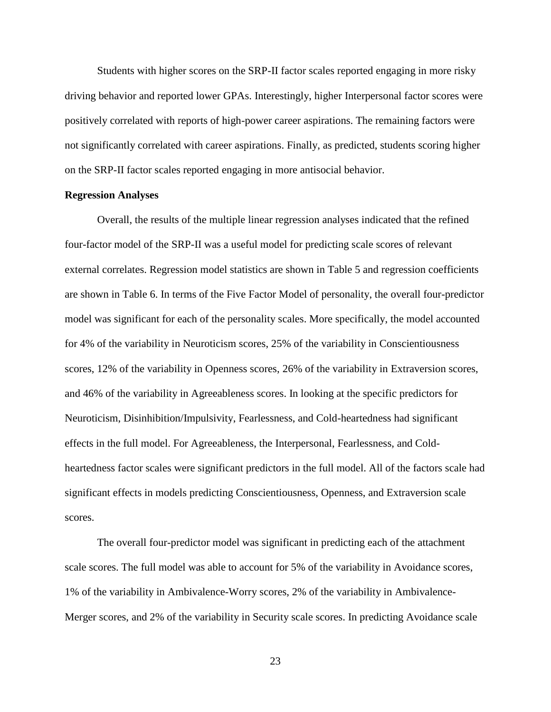Students with higher scores on the SRP-II factor scales reported engaging in more risky driving behavior and reported lower GPAs. Interestingly, higher Interpersonal factor scores were positively correlated with reports of high-power career aspirations. The remaining factors were not significantly correlated with career aspirations. Finally, as predicted, students scoring higher on the SRP-II factor scales reported engaging in more antisocial behavior.

#### **Regression Analyses**

Overall, the results of the multiple linear regression analyses indicated that the refined four-factor model of the SRP-II was a useful model for predicting scale scores of relevant external correlates. Regression model statistics are shown in Table 5 and regression coefficients are shown in Table 6. In terms of the Five Factor Model of personality, the overall four-predictor model was significant for each of the personality scales. More specifically, the model accounted for 4% of the variability in Neuroticism scores, 25% of the variability in Conscientiousness scores, 12% of the variability in Openness scores, 26% of the variability in Extraversion scores, and 46% of the variability in Agreeableness scores. In looking at the specific predictors for Neuroticism, Disinhibition/Impulsivity, Fearlessness, and Cold-heartedness had significant effects in the full model. For Agreeableness, the Interpersonal, Fearlessness, and Coldheartedness factor scales were significant predictors in the full model. All of the factors scale had significant effects in models predicting Conscientiousness, Openness, and Extraversion scale scores.

The overall four-predictor model was significant in predicting each of the attachment scale scores. The full model was able to account for 5% of the variability in Avoidance scores, 1% of the variability in Ambivalence-Worry scores, 2% of the variability in Ambivalence-Merger scores, and 2% of the variability in Security scale scores. In predicting Avoidance scale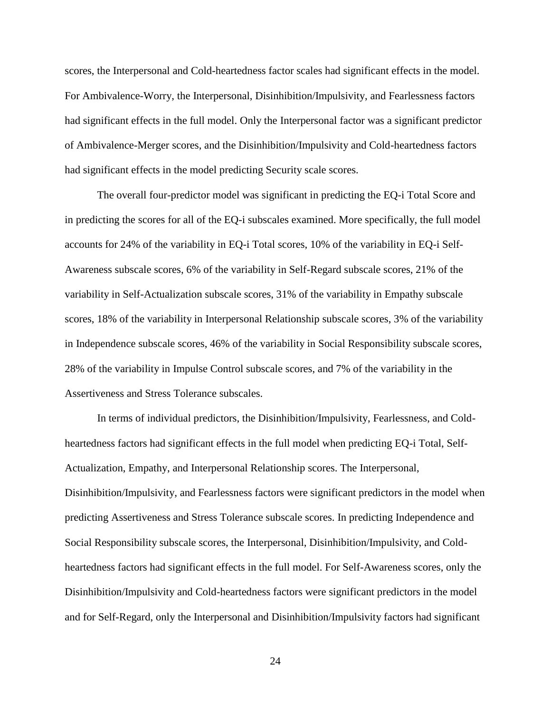scores, the Interpersonal and Cold-heartedness factor scales had significant effects in the model. For Ambivalence-Worry, the Interpersonal, Disinhibition/Impulsivity, and Fearlessness factors had significant effects in the full model. Only the Interpersonal factor was a significant predictor of Ambivalence-Merger scores, and the Disinhibition/Impulsivity and Cold-heartedness factors had significant effects in the model predicting Security scale scores.

The overall four-predictor model was significant in predicting the EQ-i Total Score and in predicting the scores for all of the EQ-i subscales examined. More specifically, the full model accounts for 24% of the variability in EQ-i Total scores, 10% of the variability in EQ-i Self-Awareness subscale scores, 6% of the variability in Self-Regard subscale scores, 21% of the variability in Self-Actualization subscale scores, 31% of the variability in Empathy subscale scores, 18% of the variability in Interpersonal Relationship subscale scores, 3% of the variability in Independence subscale scores, 46% of the variability in Social Responsibility subscale scores, 28% of the variability in Impulse Control subscale scores, and 7% of the variability in the Assertiveness and Stress Tolerance subscales.

In terms of individual predictors, the Disinhibition/Impulsivity, Fearlessness, and Coldheartedness factors had significant effects in the full model when predicting EQ-i Total, Self-Actualization, Empathy, and Interpersonal Relationship scores. The Interpersonal, Disinhibition/Impulsivity, and Fearlessness factors were significant predictors in the model when predicting Assertiveness and Stress Tolerance subscale scores. In predicting Independence and Social Responsibility subscale scores, the Interpersonal, Disinhibition/Impulsivity, and Coldheartedness factors had significant effects in the full model. For Self-Awareness scores, only the Disinhibition/Impulsivity and Cold-heartedness factors were significant predictors in the model and for Self-Regard, only the Interpersonal and Disinhibition/Impulsivity factors had significant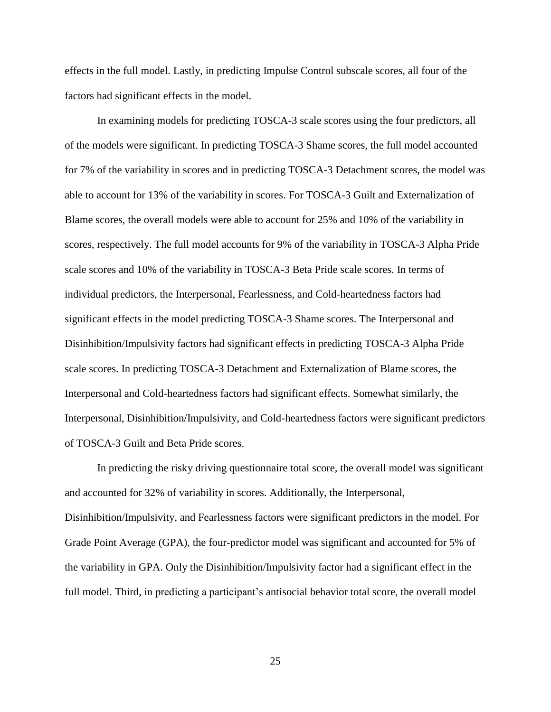effects in the full model. Lastly, in predicting Impulse Control subscale scores, all four of the factors had significant effects in the model.

In examining models for predicting TOSCA-3 scale scores using the four predictors, all of the models were significant. In predicting TOSCA-3 Shame scores, the full model accounted for 7% of the variability in scores and in predicting TOSCA-3 Detachment scores, the model was able to account for 13% of the variability in scores. For TOSCA-3 Guilt and Externalization of Blame scores, the overall models were able to account for 25% and 10% of the variability in scores, respectively. The full model accounts for 9% of the variability in TOSCA-3 Alpha Pride scale scores and 10% of the variability in TOSCA-3 Beta Pride scale scores. In terms of individual predictors, the Interpersonal, Fearlessness, and Cold-heartedness factors had significant effects in the model predicting TOSCA-3 Shame scores. The Interpersonal and Disinhibition/Impulsivity factors had significant effects in predicting TOSCA-3 Alpha Pride scale scores. In predicting TOSCA-3 Detachment and Externalization of Blame scores, the Interpersonal and Cold-heartedness factors had significant effects. Somewhat similarly, the Interpersonal, Disinhibition/Impulsivity, and Cold-heartedness factors were significant predictors of TOSCA-3 Guilt and Beta Pride scores.

In predicting the risky driving questionnaire total score, the overall model was significant and accounted for 32% of variability in scores. Additionally, the Interpersonal, Disinhibition/Impulsivity, and Fearlessness factors were significant predictors in the model. For Grade Point Average (GPA), the four-predictor model was significant and accounted for 5% of the variability in GPA. Only the Disinhibition/Impulsivity factor had a significant effect in the full model. Third, in predicting a participant's antisocial behavior total score, the overall model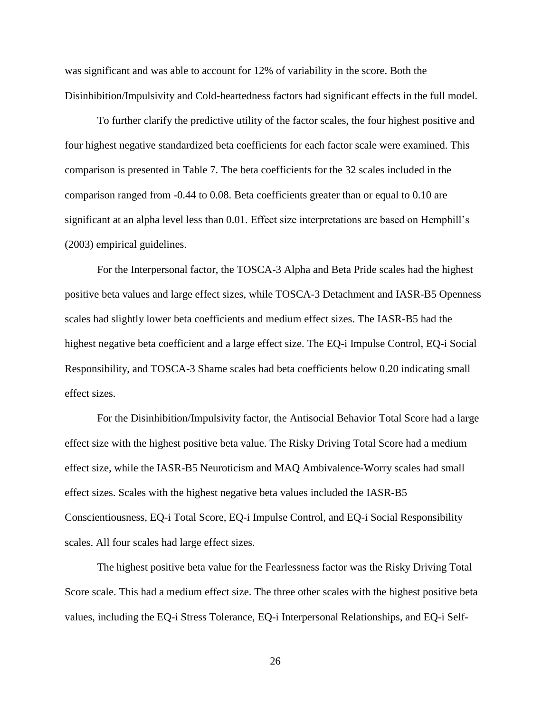was significant and was able to account for 12% of variability in the score. Both the Disinhibition/Impulsivity and Cold-heartedness factors had significant effects in the full model.

To further clarify the predictive utility of the factor scales, the four highest positive and four highest negative standardized beta coefficients for each factor scale were examined. This comparison is presented in Table 7. The beta coefficients for the 32 scales included in the comparison ranged from -0.44 to 0.08. Beta coefficients greater than or equal to 0.10 are significant at an alpha level less than 0.01. Effect size interpretations are based on Hemphill's (2003) empirical guidelines.

For the Interpersonal factor, the TOSCA-3 Alpha and Beta Pride scales had the highest positive beta values and large effect sizes, while TOSCA-3 Detachment and IASR-B5 Openness scales had slightly lower beta coefficients and medium effect sizes. The IASR-B5 had the highest negative beta coefficient and a large effect size. The EQ-i Impulse Control, EQ-i Social Responsibility, and TOSCA-3 Shame scales had beta coefficients below 0.20 indicating small effect sizes.

For the Disinhibition/Impulsivity factor, the Antisocial Behavior Total Score had a large effect size with the highest positive beta value. The Risky Driving Total Score had a medium effect size, while the IASR-B5 Neuroticism and MAQ Ambivalence-Worry scales had small effect sizes. Scales with the highest negative beta values included the IASR-B5 Conscientiousness, EQ-i Total Score, EQ-i Impulse Control, and EQ-i Social Responsibility scales. All four scales had large effect sizes.

The highest positive beta value for the Fearlessness factor was the Risky Driving Total Score scale. This had a medium effect size. The three other scales with the highest positive beta values, including the EQ-i Stress Tolerance, EQ-i Interpersonal Relationships, and EQ-i Self-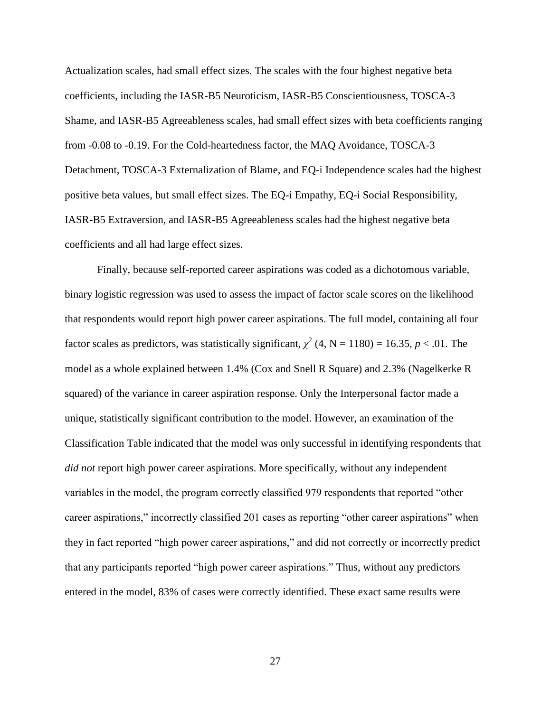Actualization scales, had small effect sizes. The scales with the four highest negative beta coefficients, including the IASR-B5 Neuroticism, IASR-B5 Conscientiousness, TOSCA-3 Shame, and IASR-B5 Agreeableness scales, had small effect sizes with beta coefficients ranging from -0.08 to -0.19. For the Cold-heartedness factor, the MAQ Avoidance, TOSCA-3 Detachment, TOSCA-3 Externalization of Blame, and EQ-i Independence scales had the highest positive beta values, but small effect sizes. The EQ-i Empathy, EQ-i Social Responsibility, IASR-B5 Extraversion, and IASR-B5 Agreeableness scales had the highest negative beta coefficients and all had large effect sizes.

Finally, because self-reported career aspirations was coded as a dichotomous variable, binary logistic regression was used to assess the impact of factor scale scores on the likelihood that respondents would report high power career aspirations. The full model, containing all four factor scales as predictors, was statistically significant,  $\chi^2$  (4, N = 1180) = 16.35, *p* < .01. The model as a whole explained between 1.4% (Cox and Snell R Square) and 2.3% (Nagelkerke R squared) of the variance in career aspiration response. Only the Interpersonal factor made a unique, statistically significant contribution to the model. However, an examination of the Classification Table indicated that the model was only successful in identifying respondents that *did not* report high power career aspirations. More specifically, without any independent variables in the model, the program correctly classified 979 respondents that reported "other career aspirations," incorrectly classified 201 cases as reporting "other career aspirations" when they in fact reported "high power career aspirations," and did not correctly or incorrectly predict that any participants reported "high power career aspirations." Thus, without any predictors entered in the model, 83% of cases were correctly identified. These exact same results were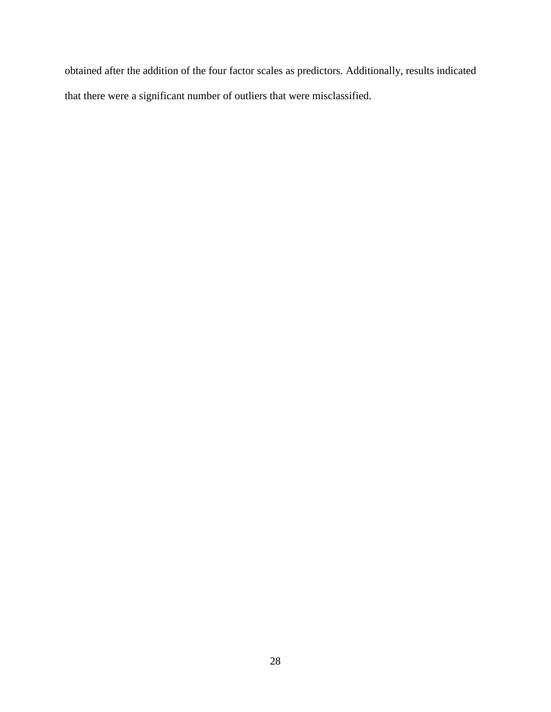obtained after the addition of the four factor scales as predictors. Additionally, results indicated that there were a significant number of outliers that were misclassified.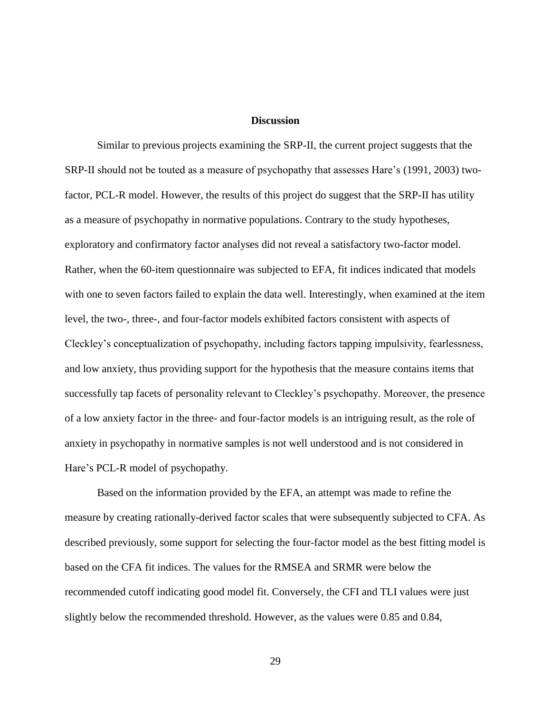### **Discussion**

Similar to previous projects examining the SRP-II, the current project suggests that the SRP-II should not be touted as a measure of psychopathy that assesses Hare's (1991, 2003) twofactor, PCL-R model. However, the results of this project do suggest that the SRP-II has utility as a measure of psychopathy in normative populations. Contrary to the study hypotheses, exploratory and confirmatory factor analyses did not reveal a satisfactory two-factor model. Rather, when the 60-item questionnaire was subjected to EFA, fit indices indicated that models with one to seven factors failed to explain the data well. Interestingly, when examined at the item level, the two-, three-, and four-factor models exhibited factors consistent with aspects of Cleckley"s conceptualization of psychopathy, including factors tapping impulsivity, fearlessness, and low anxiety, thus providing support for the hypothesis that the measure contains items that successfully tap facets of personality relevant to Cleckley"s psychopathy. Moreover, the presence of a low anxiety factor in the three- and four-factor models is an intriguing result, as the role of anxiety in psychopathy in normative samples is not well understood and is not considered in Hare's PCL-R model of psychopathy.

Based on the information provided by the EFA, an attempt was made to refine the measure by creating rationally-derived factor scales that were subsequently subjected to CFA. As described previously, some support for selecting the four-factor model as the best fitting model is based on the CFA fit indices. The values for the RMSEA and SRMR were below the recommended cutoff indicating good model fit. Conversely, the CFI and TLI values were just slightly below the recommended threshold. However, as the values were 0.85 and 0.84,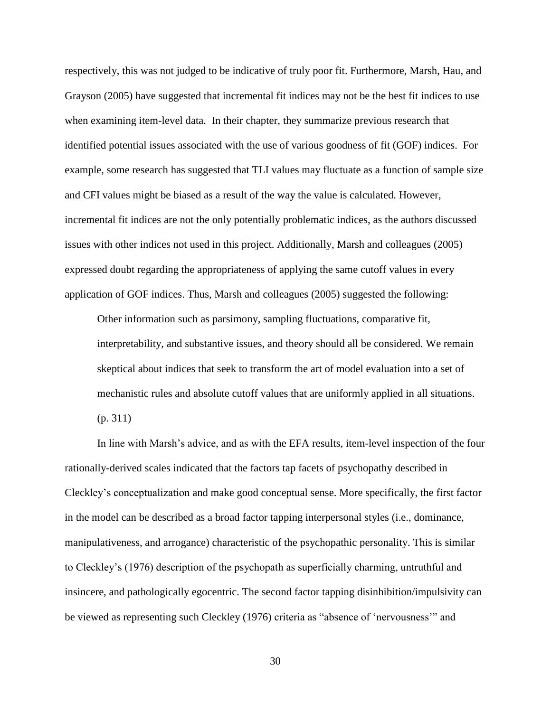respectively, this was not judged to be indicative of truly poor fit. Furthermore, Marsh, Hau, and Grayson (2005) have suggested that incremental fit indices may not be the best fit indices to use when examining item-level data. In their chapter, they summarize previous research that identified potential issues associated with the use of various goodness of fit (GOF) indices. For example, some research has suggested that TLI values may fluctuate as a function of sample size and CFI values might be biased as a result of the way the value is calculated. However, incremental fit indices are not the only potentially problematic indices, as the authors discussed issues with other indices not used in this project. Additionally, Marsh and colleagues (2005) expressed doubt regarding the appropriateness of applying the same cutoff values in every application of GOF indices. Thus, Marsh and colleagues (2005) suggested the following:

Other information such as parsimony, sampling fluctuations, comparative fit, interpretability, and substantive issues, and theory should all be considered. We remain skeptical about indices that seek to transform the art of model evaluation into a set of mechanistic rules and absolute cutoff values that are uniformly applied in all situations. (p. 311)

In line with Marsh"s advice, and as with the EFA results, item-level inspection of the four rationally-derived scales indicated that the factors tap facets of psychopathy described in Cleckley"s conceptualization and make good conceptual sense. More specifically, the first factor in the model can be described as a broad factor tapping interpersonal styles (i.e., dominance, manipulativeness, and arrogance) characteristic of the psychopathic personality. This is similar to Cleckley"s (1976) description of the psychopath as superficially charming, untruthful and insincere, and pathologically egocentric. The second factor tapping disinhibition/impulsivity can be viewed as representing such Cleckley (1976) criteria as "absence of "nervousness"" and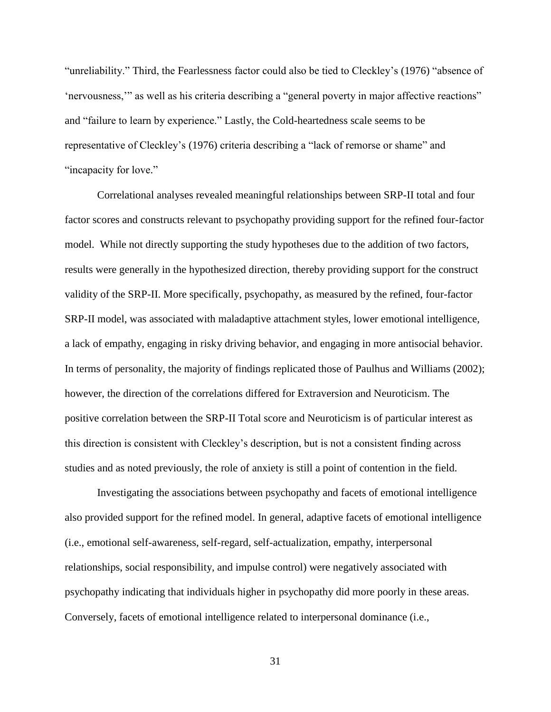"unreliability." Third, the Fearlessness factor could also be tied to Cleckley"s (1976) "absence of "nervousness,"" as well as his criteria describing a "general poverty in major affective reactions" and "failure to learn by experience." Lastly, the Cold-heartedness scale seems to be representative of Cleckley"s (1976) criteria describing a "lack of remorse or shame" and "incapacity for love."

Correlational analyses revealed meaningful relationships between SRP-II total and four factor scores and constructs relevant to psychopathy providing support for the refined four-factor model. While not directly supporting the study hypotheses due to the addition of two factors, results were generally in the hypothesized direction, thereby providing support for the construct validity of the SRP-II. More specifically, psychopathy, as measured by the refined, four-factor SRP-II model, was associated with maladaptive attachment styles, lower emotional intelligence, a lack of empathy, engaging in risky driving behavior, and engaging in more antisocial behavior. In terms of personality, the majority of findings replicated those of Paulhus and Williams (2002); however, the direction of the correlations differed for Extraversion and Neuroticism. The positive correlation between the SRP-II Total score and Neuroticism is of particular interest as this direction is consistent with Cleckley"s description, but is not a consistent finding across studies and as noted previously, the role of anxiety is still a point of contention in the field.

Investigating the associations between psychopathy and facets of emotional intelligence also provided support for the refined model. In general, adaptive facets of emotional intelligence (i.e., emotional self-awareness, self-regard, self-actualization, empathy, interpersonal relationships, social responsibility, and impulse control) were negatively associated with psychopathy indicating that individuals higher in psychopathy did more poorly in these areas. Conversely, facets of emotional intelligence related to interpersonal dominance (i.e.,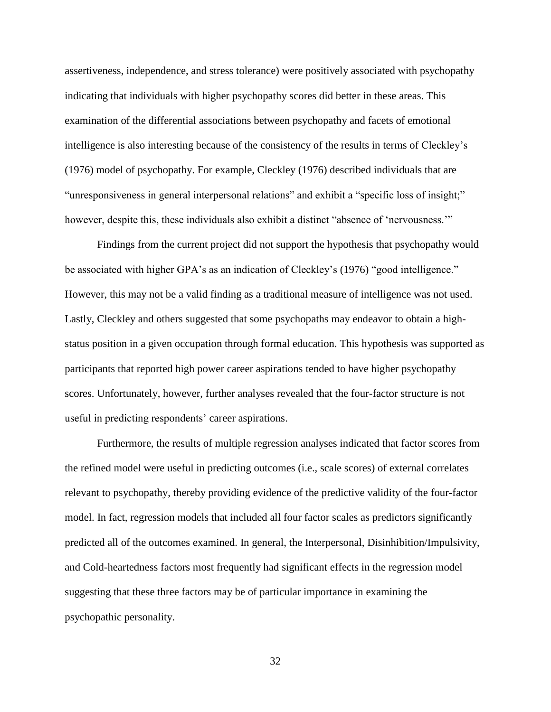assertiveness, independence, and stress tolerance) were positively associated with psychopathy indicating that individuals with higher psychopathy scores did better in these areas. This examination of the differential associations between psychopathy and facets of emotional intelligence is also interesting because of the consistency of the results in terms of Cleckley"s (1976) model of psychopathy. For example, Cleckley (1976) described individuals that are "unresponsiveness in general interpersonal relations" and exhibit a "specific loss of insight;" however, despite this, these individuals also exhibit a distinct "absence of 'nervousness."

Findings from the current project did not support the hypothesis that psychopathy would be associated with higher GPA's as an indication of Cleckley's (1976) "good intelligence." However, this may not be a valid finding as a traditional measure of intelligence was not used. Lastly, Cleckley and others suggested that some psychopaths may endeavor to obtain a highstatus position in a given occupation through formal education. This hypothesis was supported as participants that reported high power career aspirations tended to have higher psychopathy scores. Unfortunately, however, further analyses revealed that the four-factor structure is not useful in predicting respondents' career aspirations.

Furthermore, the results of multiple regression analyses indicated that factor scores from the refined model were useful in predicting outcomes (i.e., scale scores) of external correlates relevant to psychopathy, thereby providing evidence of the predictive validity of the four-factor model. In fact, regression models that included all four factor scales as predictors significantly predicted all of the outcomes examined. In general, the Interpersonal, Disinhibition/Impulsivity, and Cold-heartedness factors most frequently had significant effects in the regression model suggesting that these three factors may be of particular importance in examining the psychopathic personality.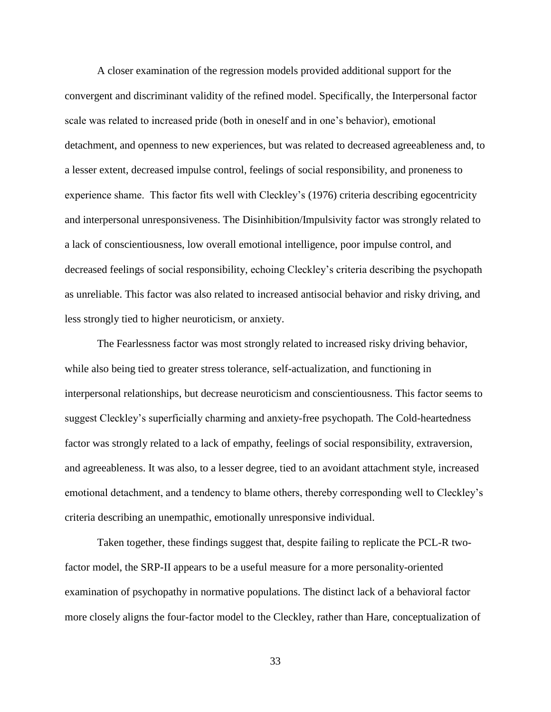A closer examination of the regression models provided additional support for the convergent and discriminant validity of the refined model. Specifically, the Interpersonal factor scale was related to increased pride (both in oneself and in one"s behavior), emotional detachment, and openness to new experiences, but was related to decreased agreeableness and, to a lesser extent, decreased impulse control, feelings of social responsibility, and proneness to experience shame. This factor fits well with Cleckley"s (1976) criteria describing egocentricity and interpersonal unresponsiveness. The Disinhibition/Impulsivity factor was strongly related to a lack of conscientiousness, low overall emotional intelligence, poor impulse control, and decreased feelings of social responsibility, echoing Cleckley"s criteria describing the psychopath as unreliable. This factor was also related to increased antisocial behavior and risky driving, and less strongly tied to higher neuroticism, or anxiety.

The Fearlessness factor was most strongly related to increased risky driving behavior, while also being tied to greater stress tolerance, self-actualization, and functioning in interpersonal relationships, but decrease neuroticism and conscientiousness. This factor seems to suggest Cleckley"s superficially charming and anxiety-free psychopath. The Cold-heartedness factor was strongly related to a lack of empathy, feelings of social responsibility, extraversion, and agreeableness. It was also, to a lesser degree, tied to an avoidant attachment style, increased emotional detachment, and a tendency to blame others, thereby corresponding well to Cleckley"s criteria describing an unempathic, emotionally unresponsive individual.

Taken together, these findings suggest that, despite failing to replicate the PCL-R twofactor model, the SRP-II appears to be a useful measure for a more personality-oriented examination of psychopathy in normative populations. The distinct lack of a behavioral factor more closely aligns the four-factor model to the Cleckley, rather than Hare, conceptualization of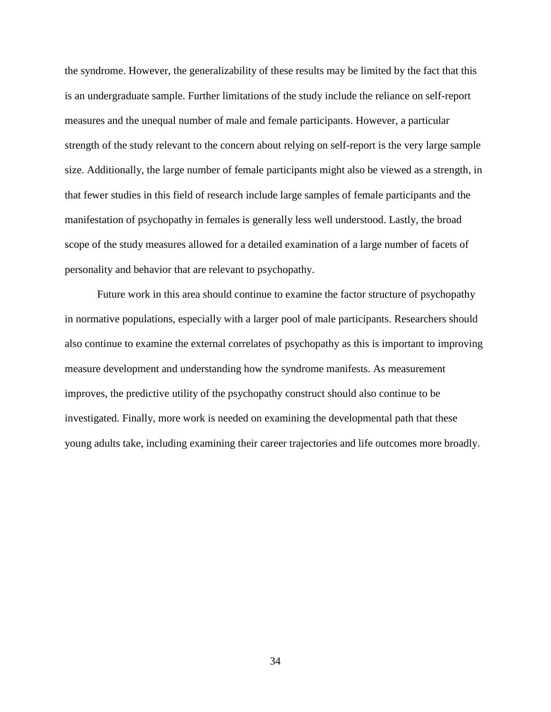the syndrome. However, the generalizability of these results may be limited by the fact that this is an undergraduate sample. Further limitations of the study include the reliance on self-report measures and the unequal number of male and female participants. However, a particular strength of the study relevant to the concern about relying on self-report is the very large sample size. Additionally, the large number of female participants might also be viewed as a strength, in that fewer studies in this field of research include large samples of female participants and the manifestation of psychopathy in females is generally less well understood. Lastly, the broad scope of the study measures allowed for a detailed examination of a large number of facets of personality and behavior that are relevant to psychopathy.

Future work in this area should continue to examine the factor structure of psychopathy in normative populations, especially with a larger pool of male participants. Researchers should also continue to examine the external correlates of psychopathy as this is important to improving measure development and understanding how the syndrome manifests. As measurement improves, the predictive utility of the psychopathy construct should also continue to be investigated. Finally, more work is needed on examining the developmental path that these young adults take, including examining their career trajectories and life outcomes more broadly.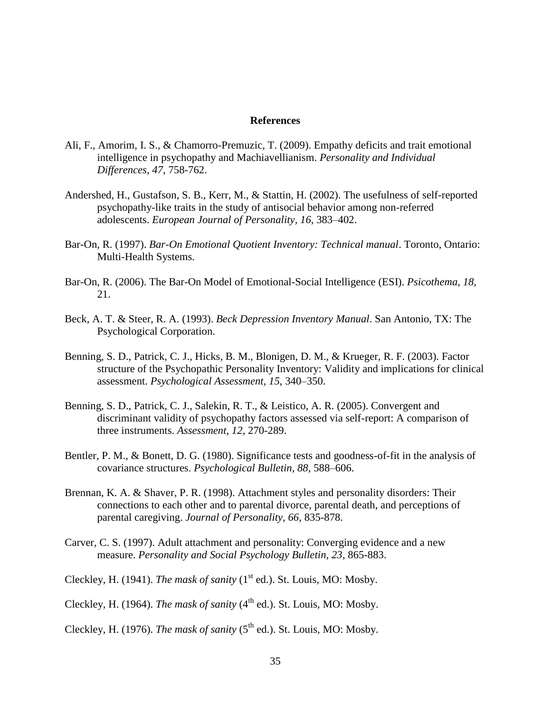#### **References**

- Ali, F., Amorim, I. S., & Chamorro-Premuzic, T. (2009). Empathy deficits and trait emotional intelligence in psychopathy and Machiavellianism. *Personality and Individual Differences, 47*, 758-762.
- Andershed, H., Gustafson, S. B., Kerr, M., & Stattin, H. (2002). The usefulness of self-reported psychopathy-like traits in the study of antisocial behavior among non-referred adolescents. *European Journal of Personality, 16*, 383–402.
- Bar-On, R. (1997). *Bar-On Emotional Quotient Inventory: Technical manual*. Toronto, Ontario: Multi-Health Systems.
- Bar-On, R. (2006). The Bar-On Model of Emotional-Social Intelligence (ESI). *Psicothema, 18,* 21.
- Beck, A. T. & Steer, R. A. (1993). *Beck Depression Inventory Manual*. San Antonio, TX: The Psychological Corporation.
- Benning, S. D., Patrick, C. J., Hicks, B. M., Blonigen, D. M., & Krueger, R. F. (2003). Factor structure of the Psychopathic Personality Inventory: Validity and implications for clinical assessment. *Psychological Assessment, 15,* 340–350.
- Benning, S. D., Patrick, C. J., Salekin, R. T., & Leistico, A. R. (2005). Convergent and discriminant validity of psychopathy factors assessed via self-report: A comparison of three instruments. *Assessment, 12*, 270-289.
- Bentler, P. M., & Bonett, D. G. (1980). Significance tests and goodness-of-fit in the analysis of covariance structures. *Psychological Bulletin, 88,* 588–606.
- Brennan, K. A. & Shaver, P. R. (1998). Attachment styles and personality disorders: Their connections to each other and to parental divorce, parental death, and perceptions of parental caregiving. *Journal of Personality, 66*, 835-878.
- Carver, C. S. (1997). Adult attachment and personality: Converging evidence and a new measure. *Personality and Social Psychology Bulletin, 23*, 865-883.
- Cleckley, H. (1941). *The mask of sanity* (1<sup>st</sup> ed.). St. Louis, MO: Mosby.
- Cleckley, H. (1964). *The mask of sanity* (4<sup>th</sup> ed.). St. Louis, MO: Mosby.
- Cleckley, H. (1976). *The mask of sanity* ( $5<sup>th</sup>$  ed.). St. Louis, MO: Mosby.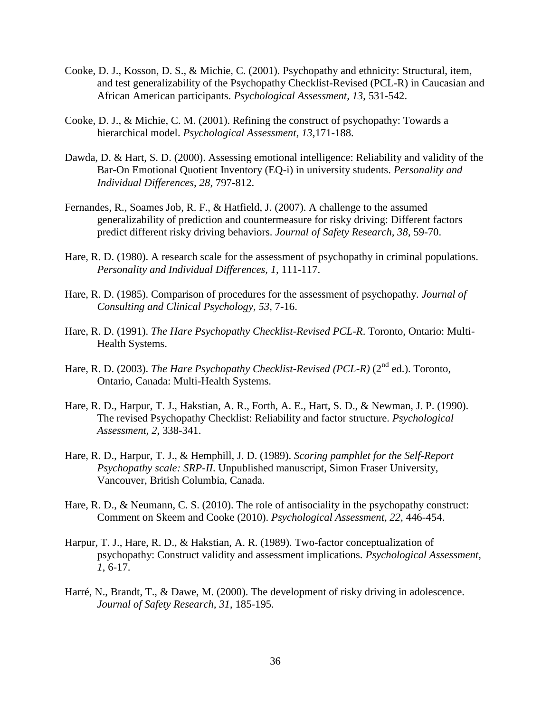- Cooke, D. J., Kosson, D. S., & Michie, C. (2001). Psychopathy and ethnicity: Structural, item, and test generalizability of the Psychopathy Checklist-Revised (PCL-R) in Caucasian and African American participants. *Psychological Assessment, 13*, 531-542.
- Cooke, D. J., & Michie, C. M. (2001). Refining the construct of psychopathy: Towards a hierarchical model. *Psychological Assessment, 13*,171-188.
- Dawda, D. & Hart, S. D. (2000). Assessing emotional intelligence: Reliability and validity of the Bar-On Emotional Quotient Inventory (EQ-i) in university students. *Personality and Individual Differences, 28*, 797-812.
- Fernandes, R., Soames Job, R. F., & Hatfield, J. (2007). A challenge to the assumed generalizability of prediction and countermeasure for risky driving: Different factors predict different risky driving behaviors. *Journal of Safety Research, 38*, 59-70.
- Hare, R. D. (1980). A research scale for the assessment of psychopathy in criminal populations. *Personality and Individual Differences, 1,* 111-117.
- Hare, R. D. (1985). Comparison of procedures for the assessment of psychopathy. *Journal of Consulting and Clinical Psychology, 53*, 7-16.
- Hare, R. D. (1991). *The Hare Psychopathy Checklist-Revised PCL-R*. Toronto, Ontario: Multi-Health Systems.
- Hare, R. D. (2003). *The Hare Psychopathy Checklist-Revised (PCL-R)* (2<sup>nd</sup> ed.). Toronto, Ontario, Canada: Multi-Health Systems.
- Hare, R. D., Harpur, T. J., Hakstian, A. R., Forth, A. E., Hart, S. D., & Newman, J. P. (1990). The revised Psychopathy Checklist: Reliability and factor structure. *Psychological Assessment, 2*, 338-341.
- Hare, R. D., Harpur, T. J., & Hemphill, J. D. (1989). *Scoring pamphlet for the Self-Report Psychopathy scale: SRP-II*. Unpublished manuscript, Simon Fraser University, Vancouver, British Columbia, Canada.
- Hare, R. D., & Neumann, C. S. (2010). The role of antisociality in the psychopathy construct: Comment on Skeem and Cooke (2010). *Psychological Assessment, 22,* 446-454.
- Harpur, T. J., Hare, R. D., & Hakstian, A. R. (1989). Two-factor conceptualization of psychopathy: Construct validity and assessment implications. *Psychological Assessment, 1*, 6-17.
- Harré, N., Brandt, T., & Dawe, M. (2000). The development of risky driving in adolescence. *Journal of Safety Research, 31*, 185-195.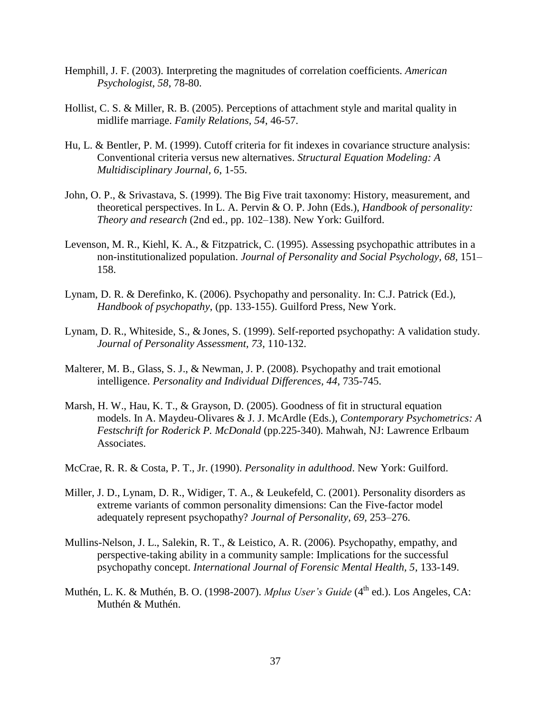- Hemphill, J. F. (2003). Interpreting the magnitudes of correlation coefficients. *American Psychologist, 58*, 78-80.
- Hollist, C. S. & Miller, R. B. (2005). Perceptions of attachment style and marital quality in midlife marriage. *Family Relations, 54*, 46-57.
- Hu, L. & Bentler, P. M. (1999). Cutoff criteria for fit indexes in covariance structure analysis: Conventional criteria versus new alternatives. *Structural Equation Modeling: A Multidisciplinary Journal, 6*, 1-55.
- John, O. P., & Srivastava, S. (1999). The Big Five trait taxonomy: History, measurement, and theoretical perspectives. In L. A. Pervin & O. P. John (Eds.), *Handbook of personality: Theory and research* (2nd ed., pp. 102–138). New York: Guilford.
- Levenson, M. R., Kiehl, K. A., & Fitzpatrick, C. (1995). Assessing psychopathic attributes in a non-institutionalized population. *Journal of Personality and Social Psychology, 68,* 151– 158.
- Lynam, D. R. & Derefinko, K. (2006). Psychopathy and personality. In: C.J. Patrick (Ed.), *Handbook of psychopathy*, (pp. 133-155). Guilford Press, New York.
- Lynam, D. R., Whiteside, S., & Jones, S. (1999). Self-reported psychopathy: A validation study. *Journal of Personality Assessment, 73*, 110-132.
- Malterer, M. B., Glass, S. J., & Newman, J. P. (2008). Psychopathy and trait emotional intelligence. *Personality and Individual Differences, 44*, 735-745.
- Marsh, H. W., Hau, K. T., & Grayson, D. (2005). Goodness of fit in structural equation models. In A. Maydeu-Olivares & J. J. McArdle (Eds.), *Contemporary Psychometrics: A Festschrift for Roderick P. McDonald* (pp.225-340). Mahwah, NJ: Lawrence Erlbaum Associates.
- McCrae, R. R. & Costa, P. T., Jr. (1990). *Personality in adulthood*. New York: Guilford.
- Miller, J. D., Lynam, D. R., Widiger, T. A., & Leukefeld, C. (2001). Personality disorders as extreme variants of common personality dimensions: Can the Five-factor model adequately represent psychopathy? *Journal of Personality, 69,* 253–276.
- Mullins-Nelson, J. L., Salekin, R. T., & Leistico, A. R. (2006). Psychopathy, empathy, and perspective-taking ability in a community sample: Implications for the successful psychopathy concept. *International Journal of Forensic Mental Health, 5*, 133-149.
- Muthén, L. K. & Muthén, B. O. (1998-2007). *Mplus User's Guide* (4<sup>th</sup> ed.). Los Angeles, CA: Muthén & Muthén.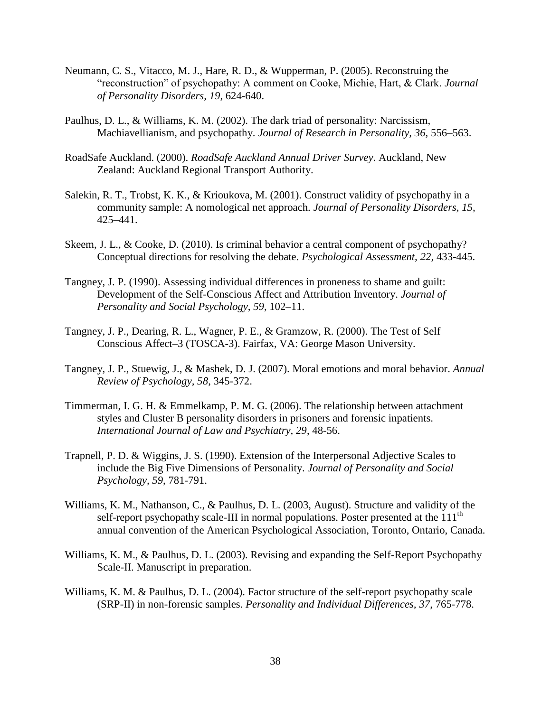- Neumann, C. S., Vitacco, M. J., Hare, R. D., & Wupperman, P. (2005). Reconstruing the "reconstruction" of psychopathy: A comment on Cooke, Michie, Hart, & Clark. *Journal of Personality Disorders, 19*, 624-640.
- Paulhus, D. L., & Williams, K. M. (2002). The dark triad of personality: Narcissism, Machiavellianism, and psychopathy. *Journal of Research in Personality, 36,* 556–563.
- RoadSafe Auckland. (2000). *RoadSafe Auckland Annual Driver Survey*. Auckland, New Zealand: Auckland Regional Transport Authority.
- Salekin, R. T., Trobst, K. K., & Krioukova, M. (2001). Construct validity of psychopathy in a community sample: A nomological net approach. *Journal of Personality Disorders, 15,*  425–441.
- Skeem, J. L., & Cooke, D. (2010). Is criminal behavior a central component of psychopathy? Conceptual directions for resolving the debate. *Psychological Assessment, 22,* 433-445.
- Tangney, J. P. (1990). Assessing individual differences in proneness to shame and guilt: Development of the Self-Conscious Affect and Attribution Inventory. *Journal of Personality and Social Psychology, 59*, 102–11.
- Tangney, J. P., Dearing, R. L., Wagner, P. E., & Gramzow, R. (2000). The Test of Self Conscious Affect–3 (TOSCA-3). Fairfax, VA: George Mason University.
- Tangney, J. P., Stuewig, J., & Mashek, D. J. (2007). Moral emotions and moral behavior. *Annual Review of Psychology, 58*, 345-372.
- Timmerman, I. G. H. & Emmelkamp, P. M. G. (2006). The relationship between attachment styles and Cluster B personality disorders in prisoners and forensic inpatients. *International Journal of Law and Psychiatry, 29*, 48-56.
- Trapnell, P. D. & Wiggins, J. S. (1990). Extension of the Interpersonal Adjective Scales to include the Big Five Dimensions of Personality. *Journal of Personality and Social Psychology, 59*, 781-791.
- Williams, K. M., Nathanson, C., & Paulhus, D. L. (2003, August). Structure and validity of the self-report psychopathy scale-III in normal populations. Poster presented at the  $111<sup>th</sup>$ annual convention of the American Psychological Association, Toronto, Ontario, Canada.
- Williams, K. M., & Paulhus, D. L. (2003). Revising and expanding the Self-Report Psychopathy Scale-II. Manuscript in preparation.
- Williams, K. M. & Paulhus, D. L. (2004). Factor structure of the self-report psychopathy scale (SRP-II) in non-forensic samples. *Personality and Individual Differences, 37*, 765-778.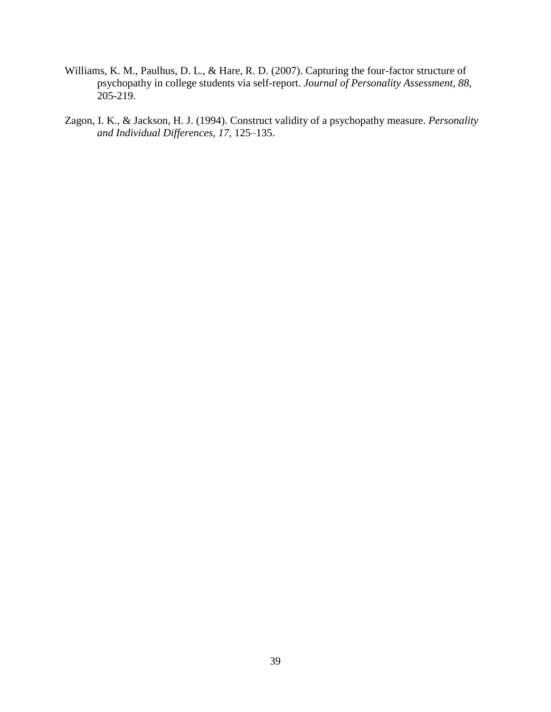- Williams, K. M., Paulhus, D. L., & Hare, R. D. (2007). Capturing the four-factor structure of psychopathy in college students via self-report. *Journal of Personality Assessment, 88*,  $205 - 219$ .
- Zagon, I. K., & Jackson, H. J. (1994). Construct validity of a psychopathy measure. *Personality and Individual Differences, 17,* 125–135.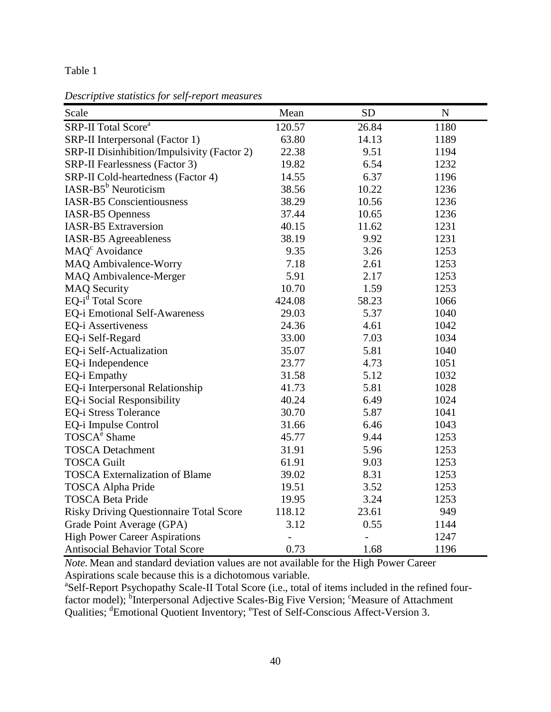*Descriptive statistics for self-report measures*

| Scale                                          | Mean   | ${\rm SD}$ | ${\bf N}$ |
|------------------------------------------------|--------|------------|-----------|
| SRP-II Total Score <sup>a</sup>                | 120.57 | 26.84      | 1180      |
| SRP-II Interpersonal (Factor 1)                | 63.80  | 14.13      | 1189      |
| SRP-II Disinhibition/Impulsivity (Factor 2)    | 22.38  | 9.51       | 1194      |
| <b>SRP-II Fearlessness (Factor 3)</b>          | 19.82  | 6.54       | 1232      |
| SRP-II Cold-heartedness (Factor 4)             | 14.55  | 6.37       | 1196      |
| $IASR-B5^b$ Neuroticism                        | 38.56  | 10.22      | 1236      |
| <b>IASR-B5</b> Conscientiousness               | 38.29  | 10.56      | 1236      |
| <b>IASR-B5 Openness</b>                        | 37.44  | 10.65      | 1236      |
| <b>IASR-B5</b> Extraversion                    | 40.15  | 11.62      | 1231      |
| <b>IASR-B5</b> Agreeableness                   | 38.19  | 9.92       | 1231      |
| MAQ <sup>c</sup> Avoidance                     | 9.35   | 3.26       | 1253      |
| <b>MAQ Ambivalence-Worry</b>                   | 7.18   | 2.61       | 1253      |
| MAQ Ambivalence-Merger                         | 5.91   | 2.17       | 1253      |
| <b>MAQ Security</b>                            | 10.70  | 1.59       | 1253      |
| EQ-i <sup>d</sup> Total Score                  | 424.08 | 58.23      | 1066      |
| EQ-i Emotional Self-Awareness                  | 29.03  | 5.37       | 1040      |
| <b>EQ-i Assertiveness</b>                      | 24.36  | 4.61       | 1042      |
| EQ-i Self-Regard                               | 33.00  | 7.03       | 1034      |
| EQ-i Self-Actualization                        | 35.07  | 5.81       | 1040      |
| EQ-i Independence                              | 23.77  | 4.73       | 1051      |
| EQ-i Empathy                                   | 31.58  | 5.12       | 1032      |
| EQ-i Interpersonal Relationship                | 41.73  | 5.81       | 1028      |
| EQ-i Social Responsibility                     | 40.24  | 6.49       | 1024      |
| <b>EQ-i Stress Tolerance</b>                   | 30.70  | 5.87       | 1041      |
| EQ-i Impulse Control                           | 31.66  | 6.46       | 1043      |
| TOSCA <sup>e</sup> Shame                       | 45.77  | 9.44       | 1253      |
| <b>TOSCA Detachment</b>                        | 31.91  | 5.96       | 1253      |
| <b>TOSCA Guilt</b>                             | 61.91  | 9.03       | 1253      |
| <b>TOSCA Externalization of Blame</b>          | 39.02  | 8.31       | 1253      |
| <b>TOSCA Alpha Pride</b>                       | 19.51  | 3.52       | 1253      |
| <b>TOSCA Beta Pride</b>                        | 19.95  | 3.24       | 1253      |
| <b>Risky Driving Questionnaire Total Score</b> | 118.12 | 23.61      | 949       |
| Grade Point Average (GPA)                      | 3.12   | 0.55       | 1144      |
| <b>High Power Career Aspirations</b>           |        |            | 1247      |
| <b>Antisocial Behavior Total Score</b>         | 0.73   | 1.68       | 1196      |

*Note.* Mean and standard deviation values are not available for the High Power Career Aspirations scale because this is a dichotomous variable.

<sup>a</sup>Self-Report Psychopathy Scale-II Total Score (i.e., total of items included in the refined fourfactor model); <sup>b</sup>Interpersonal Adjective Scales-Big Five Version; <sup>c</sup>Measure of Attachment Qualities; <sup>d</sup>Emotional Quotient Inventory; <sup>e</sup>Test of Self-Conscious Affect-Version 3.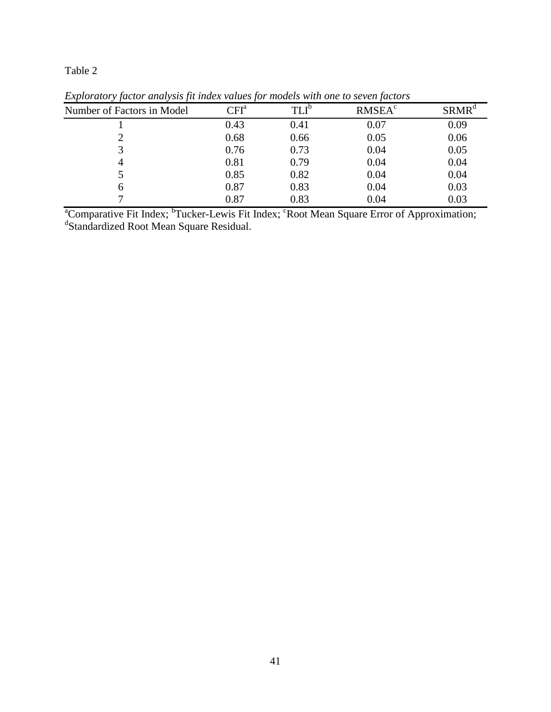| Number of Factors in Model | CFI <sup>a</sup> | $TLI^b$ | <b>RMSEA<sup>c</sup></b> | SRMR <sup>d</sup> |
|----------------------------|------------------|---------|--------------------------|-------------------|
|                            | 0.43             | 0.41    | 0.07                     | 0.09              |
|                            | 0.68             | 0.66    | 0.05                     | 0.06              |
|                            | 0.76             | 0.73    | 0.04                     | 0.05              |
|                            | 0.81             | 0.79    | 0.04                     | 0.04              |
|                            | 0.85             | 0.82    | 0.04                     | 0.04              |
| h                          | 0.87             | 0.83    | 0.04                     | 0.03              |
|                            | 0.87             | 0.83    | 0.04                     | 0.03              |

*Exploratory factor analysis fit index values for models with one to seven factors*

<sup>a</sup>Comparative Fit Index; <sup>b</sup>Tucker-Lewis Fit Index; <sup>c</sup>Root Mean Square Error of Approximation; <sup>d</sup>Standardized Root Mean Square Residual.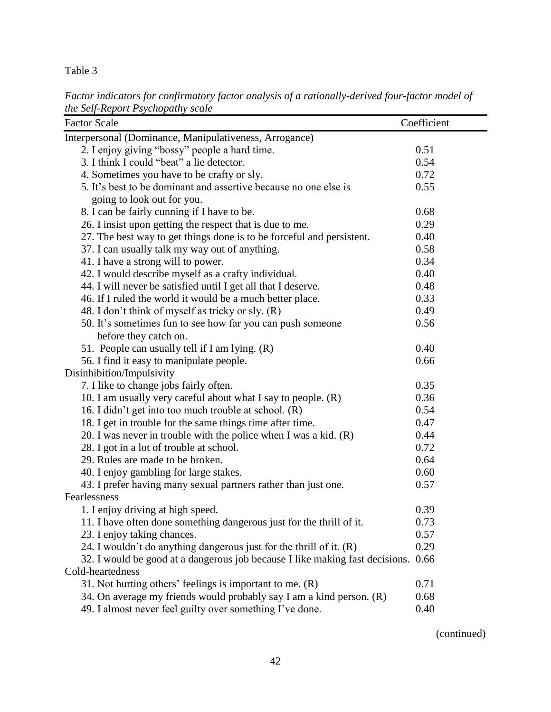*Factor indicators for confirmatory factor analysis of a rationally-derived four-factor model of the Self-Report Psychopathy scale*

| <b>Factor Scale</b>                                                          | Coefficient |
|------------------------------------------------------------------------------|-------------|
| Interpersonal (Dominance, Manipulativeness, Arrogance)                       |             |
| 2. I enjoy giving "bossy" people a hard time.                                | 0.51        |
| 3. I think I could "beat" a lie detector.                                    | 0.54        |
| 4. Sometimes you have to be crafty or sly.                                   | 0.72        |
| 5. It's best to be dominant and assertive because no one else is             | 0.55        |
| going to look out for you.                                                   |             |
| 8. I can be fairly cunning if I have to be.                                  | 0.68        |
| 26. I insist upon getting the respect that is due to me.                     | 0.29        |
| 27. The best way to get things done is to be forceful and persistent.        | 0.40        |
| 37. I can usually talk my way out of anything.                               | 0.58        |
| 41. I have a strong will to power.                                           | 0.34        |
| 42. I would describe myself as a crafty individual.                          | 0.40        |
| 44. I will never be satisfied until I get all that I deserve.                | 0.48        |
| 46. If I ruled the world it would be a much better place.                    | 0.33        |
| 48. I don't think of myself as tricky or sly. (R)                            | 0.49        |
| 50. It's sometimes fun to see how far you can push someone                   | 0.56        |
| before they catch on.                                                        |             |
| 51. People can usually tell if I am lying. (R)                               | 0.40        |
| 56. I find it easy to manipulate people.                                     | 0.66        |
| Disinhibition/Impulsivity                                                    |             |
| 7. I like to change jobs fairly often.                                       | 0.35        |
| 10. I am usually very careful about what I say to people. (R)                | 0.36        |
| 16. I didn't get into too much trouble at school. (R)                        | 0.54        |
| 18. I get in trouble for the same things time after time.                    | 0.47        |
| 20. I was never in trouble with the police when I was a kid. $(R)$           | 0.44        |
| 28. I got in a lot of trouble at school.                                     | 0.72        |
| 29. Rules are made to be broken.                                             | 0.64        |
| 40. I enjoy gambling for large stakes.                                       | 0.60        |
| 43. I prefer having many sexual partners rather than just one.               | 0.57        |
| Fearlessness                                                                 |             |
| 1. I enjoy driving at high speed.                                            | 0.39        |
| 11. I have often done something dangerous just for the thrill of it.         | 0.73        |
| 23. I enjoy taking chances.                                                  | 0.57        |
| 24. I wouldn't do anything dangerous just for the thrill of it. (R)          | 0.29        |
| 32. I would be good at a dangerous job because I like making fast decisions. | 0.66        |
| Cold-heartedness                                                             |             |
| 31. Not hurting others' feelings is important to me. $(R)$                   | 0.71        |
| 34. On average my friends would probably say I am a kind person. (R)         | 0.68        |
| 49. I almost never feel guilty over something I've done.                     | 0.40        |

(continued)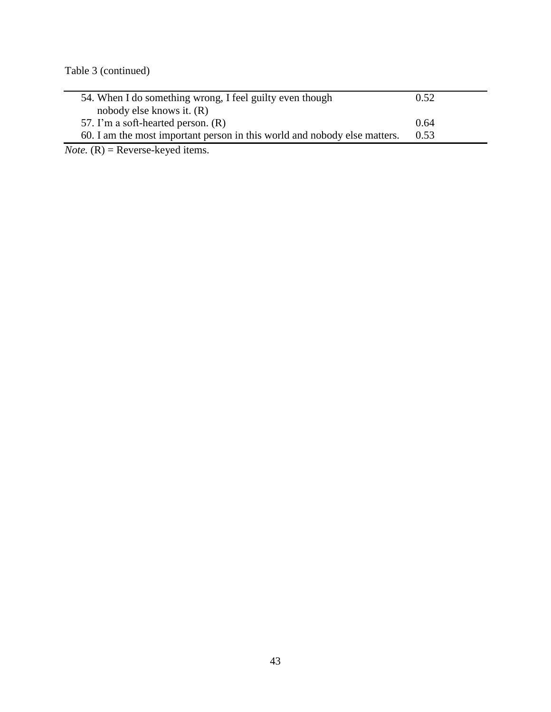Table 3 (continued)

| 54. When I do something wrong, I feel guilty even though                  | 0.52 |
|---------------------------------------------------------------------------|------|
| nobody else knows it. $(R)$                                               |      |
| 57. I'm a soft-hearted person. (R)                                        | 0.64 |
| 60. I am the most important person in this world and nobody else matters. | 0.53 |

*Note.* (R) = Reverse-keyed items.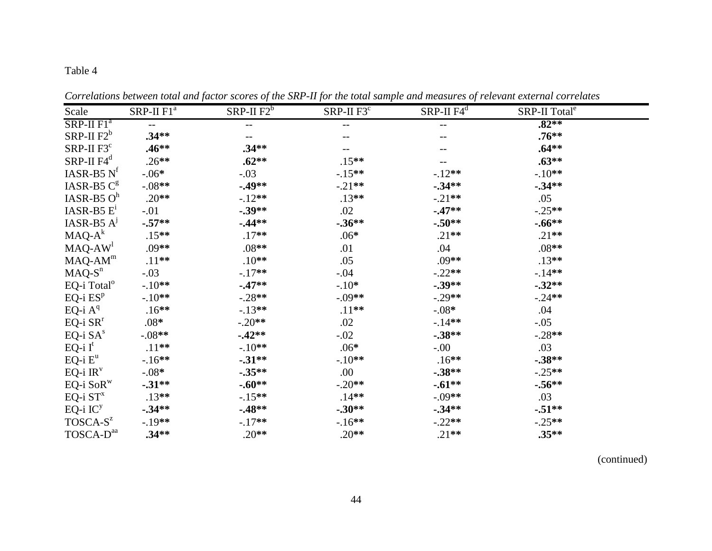| Scale                                                      | SRP-II F1 <sup>a</sup> | SRP-II $\overline{F2^b}$ | SRP-II $F3^{\overline{c}}$ | $SRP-II F4^d$ | SRP-II Total <sup>e</sup> |  |
|------------------------------------------------------------|------------------------|--------------------------|----------------------------|---------------|---------------------------|--|
| $SRP-II F1a$                                               | $- -$                  |                          | $-$                        | $-$           | $.82**$                   |  |
| $SRP-II F2^b$                                              | $.34**$                | $- -$                    | --                         | --            | $.76**$                   |  |
| $SRP-II F3c$                                               | $.46**$                | $.34**$                  |                            |               | $.64***$                  |  |
| $SRP-II F4^d$                                              | $.26**$                | $.62**$                  | $.15**$                    |               | $.63**$                   |  |
| IASR-B5 $Nf$                                               | $-.06*$                | $-.03$                   | $-.15**$                   | $-.12**$      | $-.10**$                  |  |
| IASR-B5 $Cg$                                               | $-.08**$               | $-0.49**$                | $-.21**$                   | $-0.34**$     | $-34**$                   |  |
| IASR-B5 $Oh$                                               | $.20**$                | $-12**$                  | $.13**$                    | $-.21**$      | .05                       |  |
| IASR-B5 $E1$                                               | $-.01$                 | $-.39**$                 | .02                        | $-47**$       | $-.25**$                  |  |
| IASR-B5 $A^j$                                              | $-.57**$               | $-0.44**$                | $-0.36**$                  | $-.50**$      | $-.66**$                  |  |
| $MAQ-A^k$                                                  | $.15**$                | $.17**$                  | $.06*$                     | $.21**$       | $.21**$                   |  |
| $MAQ-AW1$                                                  | $.09**$                | $.08**$                  | .01                        | .04           | $.08**$                   |  |
| $MAQ-AMm$                                                  | $.11***$               | $.10**$                  | .05                        | $.09**$       | $.13**$                   |  |
| $MAQ-Sn$                                                   | $-.03$                 | $-17**$                  | $-.04$                     | $-.22**$      | $-14**$                   |  |
| EQ-i Total <sup>o</sup>                                    | $-.10**$               | $-47**$                  | $-.10*$                    | $-.39**$      | $-0.32**$                 |  |
| EQ-i $\mathrm{ES}^p$                                       | $-.10**$               | $-.28**$                 | $-.09**$                   | $-.29**$      | $-.24**$                  |  |
| EQ-i $\mathbf{A}^{\mathrm{q}}$                             | $.16**$                | $-13**$                  | $.11**$                    | $-.08*$       | .04                       |  |
| $EQ$ -i $SRr$                                              | $.08*$                 | $-.20**$                 | .02                        | $-14**$       | $-.05$                    |  |
| EQ-i $\mathrm{SA}^{\mathrm{s}}$                            | $-.08**$               | $-42**$                  | $-.02$                     | $-.38**$      | $-.28**$                  |  |
| $EQ-i I^t$                                                 | $.11***$               | $-.10**$                 | $.06*$                     | $-00.$        | .03                       |  |
| $EQ$ -i $E^{\mathrm{u}}$                                   | $-16**$                | $-31**$                  | $-.10**$                   | $.16**$       | $-.38**$                  |  |
| EQ-i $\mathrm{IR}^\mathrm{v}$                              | $-0.08*$               | $-.35**$                 | .00                        | $-.38**$      | $-.25**$                  |  |
| $\mathsf{EQ}\text{-}\mathrm{i}\;\mathsf{SoR}^{\mathrm{w}}$ | $-31**$                | $-.60**$                 | $-.20**$                   | $-.61**$      | $-.56**$                  |  |
| EQ-i $ST^x$                                                | $.13**$                | $-15**$                  | $.14**$                    | $-.09**$      | .03                       |  |
| EQ-i $\mathrm{IC}^{\mathrm{y}}$                            | $-0.34**$              | $-0.48**$                | $-.30**$                   | $-0.34**$     | $-51**$                   |  |
| TOSCA-S <sup>z</sup>                                       | $-.19**$               | $-17**$                  | $-16**$                    | $-.22**$      | $-.25**$                  |  |
| TOSCA-D <sup>aa</sup>                                      | $.34**$                | $.20**$                  | $.20**$                    | $.21**$       | $.35**$                   |  |

*Correlations between total and factor scores of the SRP-II for the total sample and measures of relevant external correlates*

(continued)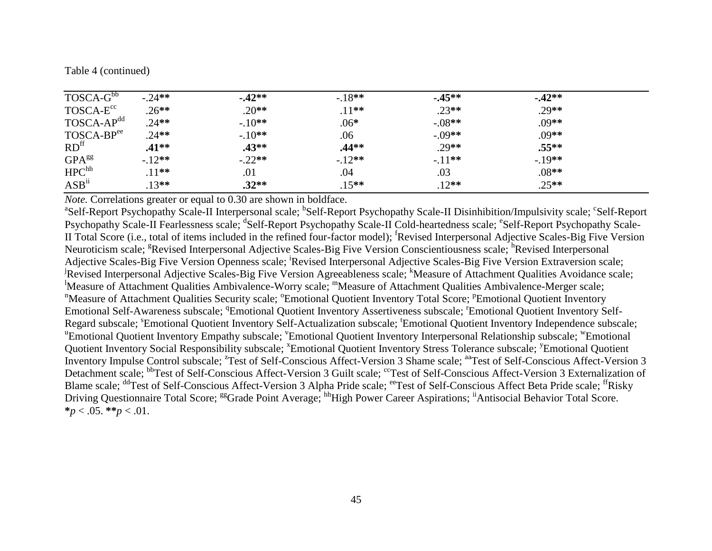|  | Table 4 (continued) |
|--|---------------------|
|--|---------------------|

| TOSCA-G <sup>bb</sup>  | $-.24**$ | $-42**$  | $-18**$  | $-45**$  | $-42**$ |  |
|------------------------|----------|----------|----------|----------|---------|--|
| TOSCA-E <sup>cc</sup>  | $.26**$  | $.20**$  | $.11***$ | $.23**$  | $.29**$ |  |
| TOSCA-AP <sup>dd</sup> | $.24**$  | $-.10**$ | $.06*$   | $-.08**$ | $.09**$ |  |
| TOSCA-BPee             | $.24**$  | $-.10**$ | .06      | $-.09**$ | $.09**$ |  |
| RD <sup>ff</sup>       | $.41**$  | $.43**$  | $.44**$  | $.29**$  | $.55**$ |  |
| GPA <sup>gg</sup>      | $-12**$  | $-.22**$ | $-12**$  | $-.11**$ | $-19**$ |  |
| HPC <sup>hh</sup>      | $.11***$ | .01      | .04      | .03      | $.08**$ |  |
| ASB <sup>ii</sup>      | $.13**$  | $.32**$  | $.15***$ | $.12**$  | $.25**$ |  |

*Note.* Correlations greater or equal to 0.30 are shown in boldface.

<sup>a</sup>Self-Report Psychopathy Scale-II Interpersonal scale; <sup>b</sup>Self-Report Psychopathy Scale-II Disinhibition/Impulsivity scale; <sup>c</sup>Self-Report Psychopathy Scale-II Fearlessness scale; <sup>d</sup>Self-Report Psychopathy Scale-II Cold-heartedness scale; <sup>e</sup>Self-Report Psychopathy Scale-II Total Score (i.e., total of items included in the refined four-factor model); <sup>f</sup>Revised Interpersonal Adjective Scales-Big Five Version Neuroticism scale; <sup>g</sup>Revised Interpersonal Adjective Scales-Big Five Version Conscientiousness scale; <sup>h</sup>Revised Interpersonal Adjective Scales-Big Five Version Openness scale; <sup>i</sup>Revised Interpersonal Adjective Scales-Big Five Version Extraversion scale; Revised Interpersonal Adjective Scales-Big Five Version Agreeableness scale; <sup>k</sup>Measure of Attachment Qualities Avoidance scale; <sup>1</sup>Measure of Attachment Qualities Ambivalence-Worry scale; <sup>m</sup>Measure of Attachment Qualities Ambivalence-Merger scale; <sup>n</sup>Measure of Attachment Qualities Security scale; <sup>o</sup>Emotional Quotient Inventory Total Score; <sup>p</sup>Emotional Quotient Inventory Emotional Self-Awareness subscale; <sup>q</sup>Emotional Quotient Inventory Assertiveness subscale; <sup>r</sup>Emotional Quotient Inventory Self-Regard subscale; <sup>s</sup>Emotional Quotient Inventory Self-Actualization subscale; <sup>t</sup>Emotional Quotient Inventory Independence subscale; "Emotional Quotient Inventory Empathy subscale; 'Emotional Quotient Inventory Interpersonal Relationship subscale; "Emotional Quotient Inventory Social Responsibility subscale; <sup>x</sup>Emotional Quotient Inventory Stress Tolerance subscale; <sup>y</sup>Emotional Quotient Inventory Impulse Control subscale; <sup>2</sup>Test of Self-Conscious Affect-Version 3 Shame scale; <sup>aa</sup>Test of Self-Conscious Affect-Version 3 Detachment scale; <sup>bb</sup>Test of Self-Conscious Affect-Version 3 Guilt scale; <sup>cc</sup>Test of Self-Conscious Affect-Version 3 Externalization of Blame scale; <sup>dd</sup>Test of Self-Conscious Affect-Version 3 Alpha Pride scale; <sup>ee</sup>Test of Self-Conscious Affect Beta Pride scale; <sup>ff</sup>Risky Driving Questionnaire Total Score; <sup>gg</sup>Grade Point Average; <sup>hh</sup>High Power Career Aspirations; <sup>ii</sup>Antisocial Behavior Total Score.  $**p* < .05.$   $**p* < .01.$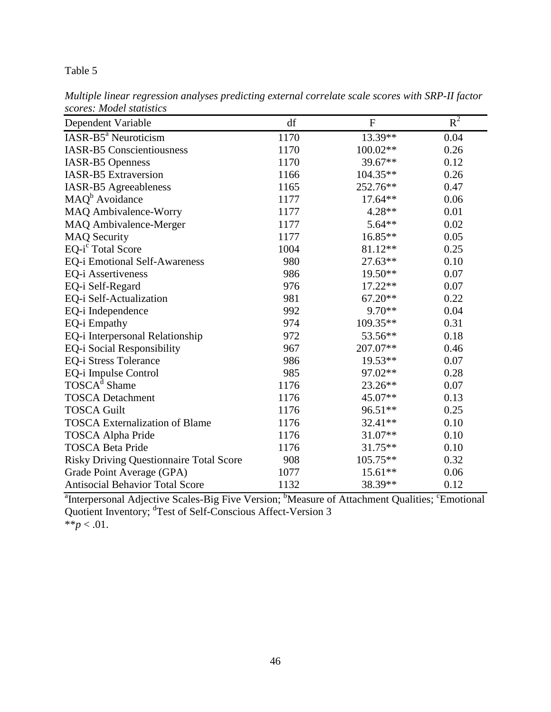| thumpic uncur regression unurgies preutentig external correlate scule scores with SKI-11 juction<br>scores: Model statistics |      |            |       |  |
|------------------------------------------------------------------------------------------------------------------------------|------|------------|-------|--|
| Dependent Variable                                                                                                           | df   | н          | $R^2$ |  |
| IASR-B5 <sup>a</sup> Neuroticism                                                                                             | 1170 | $13.39**$  | 0.04  |  |
| <b>IASR-B5</b> Conscientiousness                                                                                             | 1170 | $100.02**$ | 0.26  |  |
| <b>IASR-B5</b> Openness                                                                                                      | 1170 | $39.67**$  | 0.12  |  |
| <b>IASR-B5</b> Extraversion                                                                                                  | 1166 | $104.35**$ | 0.26  |  |
| IASR-R5 Agreeableness                                                                                                        | 1165 | $252.76**$ | 0.47  |  |

*Multiple linear regression analyses predicting external correlate scale scores with SRP-II factor* 

| $a_{\mathbf{r}}$ .<br>$\mathbf{1}$ $\mathbf{1}$ $\mathbf{1}$ $\mathbf{1}$ $\mathbf{1}$ $\mathbf{1}$ $\mathbf{1}$ $\mathbf{1}$ $\mathbf{1}$ $\mathbf{1}$ $\mathbf{1}$ $\mathbf{1}$ $\mathbf{1}$ $\mathbf{1}$ $\mathbf{1}$ $\mathbf{1}$ $\mathbf{1}$ $\mathbf{1}$ $\mathbf{1}$ $\mathbf{1}$ $\mathbf{1}$ $\mathbf{1}$ $\mathbf{1}$ $\mathbf{1}$ $\mathbf{$<br>TT. | $b \cdot r$ | $\mathbf{u}$<br>$C = 1$<br>$\sim$ $\sim$ | $c_{\mathbf{r}}$ $\cdots$ |
|-----------------------------------------------------------------------------------------------------------------------------------------------------------------------------------------------------------------------------------------------------------------------------------------------------------------------------------------------------------------|-------------|------------------------------------------|---------------------------|
| <b>Antisocial Behavior Total Score</b>                                                                                                                                                                                                                                                                                                                          | 1132        | 38.39**                                  | 0.12                      |
| Grade Point Average (GPA)                                                                                                                                                                                                                                                                                                                                       | 1077        | $15.61**$                                | 0.06                      |
| <b>Risky Driving Questionnaire Total Score</b>                                                                                                                                                                                                                                                                                                                  | 908         | 105.75**                                 | 0.32                      |
| <b>TOSCA Beta Pride</b>                                                                                                                                                                                                                                                                                                                                         | 1176        | $31.75**$                                | 0.10                      |
| TOSCA Alpha Pride                                                                                                                                                                                                                                                                                                                                               | 1176        | $31.07**$                                | 0.10                      |
| <b>TOSCA Externalization of Blame</b>                                                                                                                                                                                                                                                                                                                           | 1176        | 32.41**                                  | 0.10                      |
| <b>TOSCA Guilt</b>                                                                                                                                                                                                                                                                                                                                              | 1176        | 96.51**                                  | 0.25                      |
| <b>TOSCA</b> Detachment                                                                                                                                                                                                                                                                                                                                         | 1176        | 45.07**                                  | 0.13                      |
| TOSCA <sup>d</sup> Shame                                                                                                                                                                                                                                                                                                                                        | 1176        | 23.26**                                  | 0.07                      |
| EQ-i Impulse Control                                                                                                                                                                                                                                                                                                                                            | 985         | 97.02**                                  | 0.28                      |
| <b>EQ-i Stress Tolerance</b>                                                                                                                                                                                                                                                                                                                                    | 986         | 19.53**                                  | 0.07                      |
| EQ-i Social Responsibility                                                                                                                                                                                                                                                                                                                                      | 967         | 207.07**                                 | 0.46                      |
| EQ-i Interpersonal Relationship                                                                                                                                                                                                                                                                                                                                 | 972         | 53.56**                                  | 0.18                      |
| EQ-i Empathy                                                                                                                                                                                                                                                                                                                                                    | 974         | 109.35**                                 | 0.31                      |
| EQ-i Independence                                                                                                                                                                                                                                                                                                                                               | 992         | $9.70**$                                 | 0.04                      |
| EQ-i Self-Actualization                                                                                                                                                                                                                                                                                                                                         | 981         | $67.20**$                                | 0.22                      |
| EQ-i Self-Regard                                                                                                                                                                                                                                                                                                                                                | 976         | $17.22**$                                | 0.07                      |
| EQ-i Assertiveness                                                                                                                                                                                                                                                                                                                                              | 986         | 19.50**                                  | 0.07                      |
| EQ-i Emotional Self-Awareness                                                                                                                                                                                                                                                                                                                                   | 980         | 27.63**                                  | 0.10                      |
| EQ-i <sup>c</sup> Total Score                                                                                                                                                                                                                                                                                                                                   | 1004        | 81.12**                                  | 0.25                      |
| <b>MAQ Security</b>                                                                                                                                                                                                                                                                                                                                             | 1177        | 16.85**                                  | 0.05                      |
| MAQ Ambivalence-Merger                                                                                                                                                                                                                                                                                                                                          | 1177        | 5.64**                                   | 0.02                      |
| <b>MAQ Ambivalence-Worry</b>                                                                                                                                                                                                                                                                                                                                    | 1177        | $4.28**$                                 | 0.01                      |
| MAQ <sup>b</sup> Avoidance                                                                                                                                                                                                                                                                                                                                      | 1177        | $17.64**$                                | 0.06                      |
| IASR-B5 Agreeableness                                                                                                                                                                                                                                                                                                                                           | 1165        | 252.76**                                 | 0.47                      |
| <b>IASR-B5</b> Extraversion                                                                                                                                                                                                                                                                                                                                     | 1166        | $104.35**$                               | 0.26                      |
| IASR-B5 Openness                                                                                                                                                                                                                                                                                                                                                | 1170        | 39.67**                                  | 0.12                      |

<sup>a</sup>Interpersonal Adjective Scales-Big Five Version; <sup>b</sup>Measure of Attachment Qualities; <sup>c</sup>Emotional Quotient Inventory; <sup>d</sup>Test of Self-Conscious Affect-Version 3 \*\* $p < .01$ .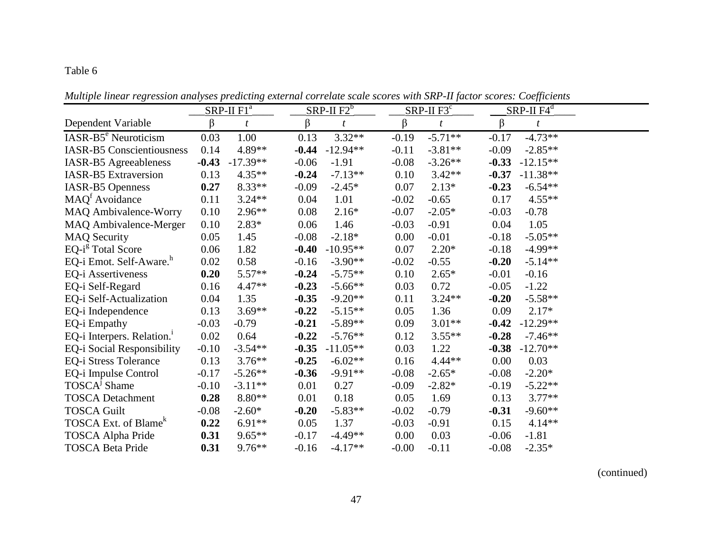|                                        | $SRP-II F1^a$ |                |         | SRP-II $F2^b$    |         | $SRP-II F3c$ |                  |         | $SRP-II F4^d$ |                  |  |
|----------------------------------------|---------------|----------------|---------|------------------|---------|--------------|------------------|---------|---------------|------------------|--|
| Dependent Variable                     | $\beta$       | $\mathfrak{t}$ | β       | $\boldsymbol{t}$ | β       |              | $\boldsymbol{t}$ | β       |               | $\boldsymbol{t}$ |  |
| IASR-B5 <sup>e</sup> Neuroticism       | 0.03          | 1.00           | 0.13    | $3.32**$         | $-0.19$ |              | $-5.71**$        | $-0.17$ |               | $-4.73**$        |  |
| <b>IASR-B5</b> Conscientiousness       | 0.14          | 4.89**         | $-0.44$ | $-12.94**$       | $-0.11$ |              | $-3.81**$        | $-0.09$ |               | $-2.85**$        |  |
| IASR-B5 Agreeableness                  | $-0.43$       | $-17.39**$     | $-0.06$ | $-1.91$          | $-0.08$ |              | $-3.26**$        | $-0.33$ |               | $-12.15**$       |  |
| IASR-B5 Extraversion                   | 0.13          | $4.35**$       | $-0.24$ | $-7.13**$        | 0.10    |              | $3.42**$         | $-0.37$ |               | $-11.38**$       |  |
| <b>IASR-B5</b> Openness                | 0.27          | $8.33**$       | $-0.09$ | $-2.45*$         | 0.07    |              | $2.13*$          | $-0.23$ |               | $-6.54**$        |  |
| MAQ <sup>f</sup> Avoidance             | 0.11          | $3.24**$       | 0.04    | 1.01             | $-0.02$ |              | $-0.65$          | 0.17    |               | $4.55**$         |  |
| MAQ Ambivalence-Worry                  | 0.10          | $2.96**$       | 0.08    | $2.16*$          | $-0.07$ |              | $-2.05*$         | $-0.03$ |               | $-0.78$          |  |
| MAQ Ambivalence-Merger                 | 0.10          | $2.83*$        | 0.06    | 1.46             | $-0.03$ |              | $-0.91$          | 0.04    |               | 1.05             |  |
| <b>MAQ Security</b>                    | 0.05          | 1.45           | $-0.08$ | $-2.18*$         | 0.00    |              | $-0.01$          | $-0.18$ |               | $-5.05**$        |  |
| EQ-i <sup>g</sup> Total Score          | 0.06          | 1.82           | $-0.40$ | $-10.95**$       | 0.07    |              | $2.20*$          | $-0.18$ |               | $-4.99**$        |  |
| EQ-i Emot. Self-Aware. <sup>h</sup>    | 0.02          | 0.58           | $-0.16$ | $-3.90**$        | $-0.02$ |              | $-0.55$          | $-0.20$ |               | $-5.14**$        |  |
| EQ-i Assertiveness                     | 0.20          | $5.57**$       | $-0.24$ | $-5.75**$        | 0.10    |              | $2.65*$          | $-0.01$ |               | $-0.16$          |  |
| EQ-i Self-Regard                       | 0.16          | $4.47**$       | $-0.23$ | $-5.66**$        | 0.03    |              | 0.72             | $-0.05$ |               | $-1.22$          |  |
| EQ-i Self-Actualization                | 0.04          | 1.35           | $-0.35$ | $-9.20**$        | 0.11    |              | $3.24**$         | $-0.20$ |               | $-5.58**$        |  |
| EQ-i Independence                      | 0.13          | $3.69**$       | $-0.22$ | $-5.15**$        | 0.05    |              | 1.36             | 0.09    |               | $2.17*$          |  |
| EQ-i Empathy                           | $-0.03$       | $-0.79$        | $-0.21$ | $-5.89**$        | 0.09    |              | $3.01**$         | $-0.42$ |               | $-12.29**$       |  |
| EQ-i Interpers. Relation. <sup>1</sup> | $0.02\,$      | 0.64           | $-0.22$ | $-5.76**$        | 0.12    |              | $3.55**$         | $-0.28$ |               | $-7.46**$        |  |
| EQ-i Social Responsibility             | $-0.10$       | $-3.54**$      | $-0.35$ | $-11.05**$       | 0.03    |              | 1.22             | $-0.38$ |               | $-12.70**$       |  |
| EQ-i Stress Tolerance                  | 0.13          | $3.76**$       | $-0.25$ | $-6.02**$        | 0.16    |              | $4.44**$         | 0.00    |               | 0.03             |  |
| EQ-i Impulse Control                   | $-0.17$       | $-5.26**$      | $-0.36$ | $-9.91**$        | $-0.08$ |              | $-2.65*$         | $-0.08$ |               | $-2.20*$         |  |
| TOSCA <sup>J</sup> Shame               | $-0.10$       | $-3.11**$      | 0.01    | 0.27             | $-0.09$ |              | $-2.82*$         | $-0.19$ |               | $-5.22**$        |  |
| <b>TOSCA Detachment</b>                | 0.28          | $8.80**$       | 0.01    | 0.18             | 0.05    |              | 1.69             | 0.13    |               | $3.77**$         |  |
| <b>TOSCA Guilt</b>                     | $-0.08$       | $-2.60*$       | $-0.20$ | $-5.83**$        | $-0.02$ |              | $-0.79$          | $-0.31$ |               | $-9.60**$        |  |
| TOSCA Ext. of Blame <sup>k</sup>       | 0.22          | $6.91**$       | 0.05    | 1.37             | $-0.03$ |              | $-0.91$          | 0.15    |               | $4.14**$         |  |
| TOSCA Alpha Pride                      | 0.31          | $9.65**$       | $-0.17$ | $-4.49**$        | 0.00    |              | 0.03             | $-0.06$ |               | $-1.81$          |  |
| <b>TOSCA Beta Pride</b>                | 0.31          | $9.76***$      | $-0.16$ | $-4.17**$        | $-0.00$ |              | $-0.11$          | $-0.08$ |               | $-2.35*$         |  |

*Multiple linear regression analyses predicting external correlate scale scores with SRP-II factor scores: Coefficients*

(continued)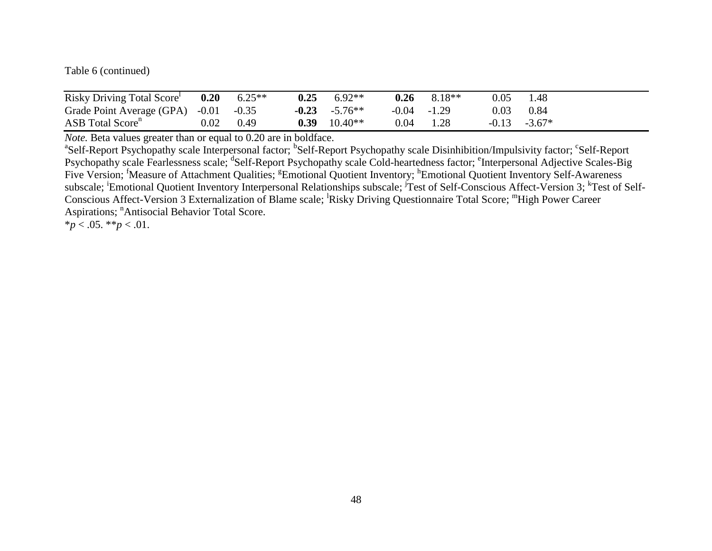Table 6 (continued)

| Risky Driving Total Score             |          | $0.20\qquad 6.25**$ | 0.25 | $6.92**$          | 0.26           | $8.18**$ | 0.05 | 1.48            |
|---------------------------------------|----------|---------------------|------|-------------------|----------------|----------|------|-----------------|
| Grade Point Average (GPA) -0.01 -0.35 |          |                     |      | $-0.23$ $-5.76**$ | $-0.04 - 1.29$ |          | 0.03 | 0.84            |
| ASB Total Score <sup>n</sup>          | $0.02\,$ | 0.49                | 0.39 | $10.40**$         | 0.04           | 1.28     |      | $-0.13 - 3.67*$ |

*Note.* Beta values greater than or equal to 0.20 are in boldface.

<sup>a</sup>Self-Report Psychopathy scale Interpersonal factor; <sup>b</sup>Self-Report Psychopathy scale Disinhibition/Impulsivity factor; <sup>c</sup>Self-Report Psychopathy scale Fearlessness scale; <sup>d</sup>Self-Report Psychopathy scale Cold-heartedness factor; <sup>e</sup>Interpersonal Adjective Scales-Big Five Version; <sup>f</sup>Measure of Attachment Qualities; <sup>g</sup>Emotional Quotient Inventory; <sup>h</sup>Emotional Quotient Inventory Self-Awareness subscale; Emotional Quotient Inventory Interpersonal Relationships subscale; Test of Self-Conscious Affect-Version 3; <sup>k</sup>Test of Self-Conscious Affect-Version 3 Externalization of Blame scale; Risky Driving Questionnaire Total Score; "High Power Career Aspirations; <sup>n</sup>Antisocial Behavior Total Score.

 $**p* < .05.$   $**p* < .01.$